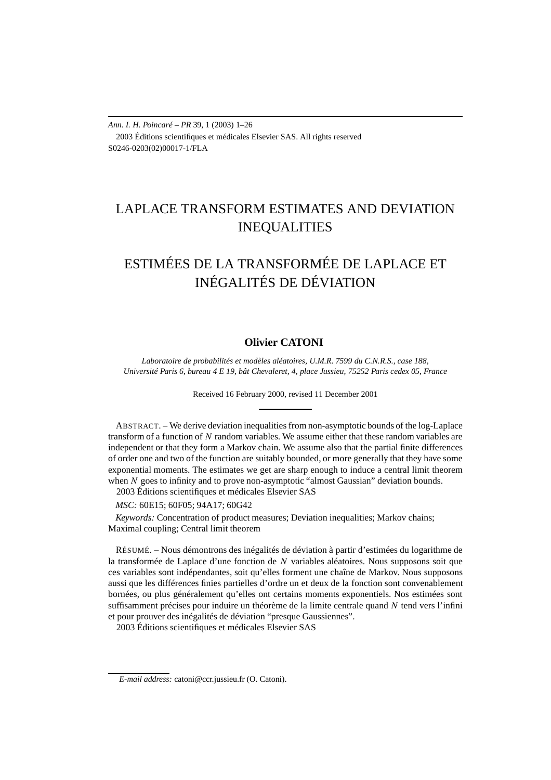*Ann. I. H. Poincaré – PR* 39, 1 (2003) 1–26 2003 Éditions scientifiques et médicales Elsevier SAS. All rights reserved S0246-0203(02)00017-1/FLA

## LAPLACE TRANSFORM ESTIMATES AND DEVIATION INEQUALITIES

# ESTIMÉES DE LA TRANSFORMÉE DE LAPLACE ET INÉGALITÉS DE DÉVIATION

## **Olivier CATONI**

*Laboratoire de probabilités et modèles aléatoires, U.M.R. 7599 du C.N.R.S., case 188, Université Paris 6, bureau 4 E 19, bât Chevaleret, 4, place Jussieu, 75252 Paris cedex 05, France*

Received 16 February 2000, revised 11 December 2001

ABSTRACT. – We derive deviation inequalities from non-asymptotic bounds of the log-Laplace transform of a function of *N* random variables. We assume either that these random variables are independent or that they form a Markov chain. We assume also that the partial finite differences of order one and two of the function are suitably bounded, or more generally that they have some exponential moments. The estimates we get are sharp enough to induce a central limit theorem when *N* goes to infinity and to prove non-asymptotic "almost Gaussian" deviation bounds. 2003 Éditions scientifiques et médicales Elsevier SAS

*MSC:* 60E15; 60F05; 94A17; 60G42

*Keywords:* Concentration of product measures; Deviation inequalities; Markov chains; Maximal coupling; Central limit theorem

RÉSUMÉ. – Nous démontrons des inégalités de déviation à partir d'estimées du logarithme de la transformée de Laplace d'une fonction de *N* variables aléatoires. Nous supposons soit que ces variables sont indépendantes, soit qu'elles forment une chaîne de Markov. Nous supposons aussi que les différences finies partielles d'ordre un et deux de la fonction sont convenablement bornées, ou plus généralement qu'elles ont certains moments exponentiels. Nos estimées sont suffisamment précises pour induire un théorème de la limite centrale quand *N* tend vers l'infini et pour prouver des inégalités de déviation "presque Gaussiennes".

2003 Éditions scientifiques et médicales Elsevier SAS

*E-mail address:* catoni@ccr.jussieu.fr (O. Catoni).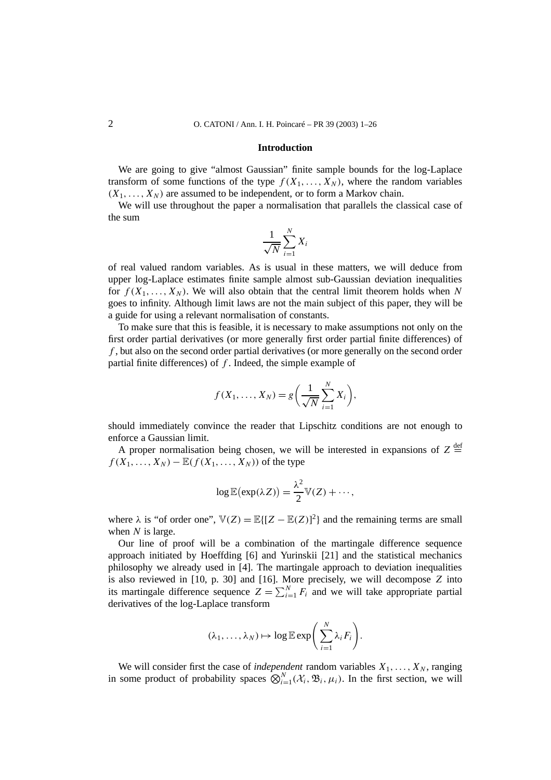#### **Introduction**

We are going to give "almost Gaussian" finite sample bounds for the log-Laplace transform of some functions of the type  $f(X_1, \ldots, X_N)$ , where the random variables  $(X_1, \ldots, X_N)$  are assumed to be independent, or to form a Markov chain.

We will use throughout the paper a normalisation that parallels the classical case of the sum

$$
\frac{1}{\sqrt{N}}\sum_{i=1}^{N}X_i
$$

of real valued random variables. As is usual in these matters, we will deduce from upper log-Laplace estimates finite sample almost sub-Gaussian deviation inequalities for  $f(X_1, \ldots, X_N)$ . We will also obtain that the central limit theorem holds when N goes to infinity. Although limit laws are not the main subject of this paper, they will be a guide for using a relevant normalisation of constants.

To make sure that this is feasible, it is necessary to make assumptions not only on the first order partial derivatives (or more generally first order partial finite differences) of *f* , but also on the second order partial derivatives (or more generally on the second order partial finite differences) of *f* . Indeed, the simple example of

$$
f(X_1,\ldots,X_N)=g\bigg(\frac{1}{\sqrt{N}}\sum_{i=1}^N X_i\bigg),
$$

should immediately convince the reader that Lipschitz conditions are not enough to enforce a Gaussian limit.

A proper normalisation being chosen, we will be interested in expansions of  $Z \stackrel{\text{def}}{=}$  $f(X_1, \ldots, X_N) - \mathbb{E}(f(X_1, \ldots, X_N))$  of the type

$$
\log \mathbb{E}(\exp(\lambda Z)) = \frac{\lambda^2}{2} \mathbb{V}(Z) + \cdots,
$$

where  $\lambda$  is "of order one",  $V(Z) = \mathbb{E}{[Z - \mathbb{E}(Z)]^2}$  and the remaining terms are small when *N* is large.

Our line of proof will be a combination of the martingale difference sequence approach initiated by Hoeffding [6] and Yurinskii [21] and the statistical mechanics philosophy we already used in [4]. The martingale approach to deviation inequalities is also reviewed in [10, p. 30] and [16]. More precisely, we will decompose *Z* into its martingale difference sequence  $Z = \sum_{i=1}^{N} F_i$  and we will take appropriate partial derivatives of the log-Laplace transform

$$
(\lambda_1,\ldots,\lambda_N)\mapsto \log \mathbb{E} \exp \bigg(\sum_{i=1}^N \lambda_i F_i\bigg).
$$

We will consider first the case of *independent* random variables  $X_1, \ldots, X_N$ , ranging in some product of probability spaces  $\bigotimes_{i=1}^{N} (\mathcal{X}_i, \mathfrak{B}_i, \mu_i)$ . In the first section, we will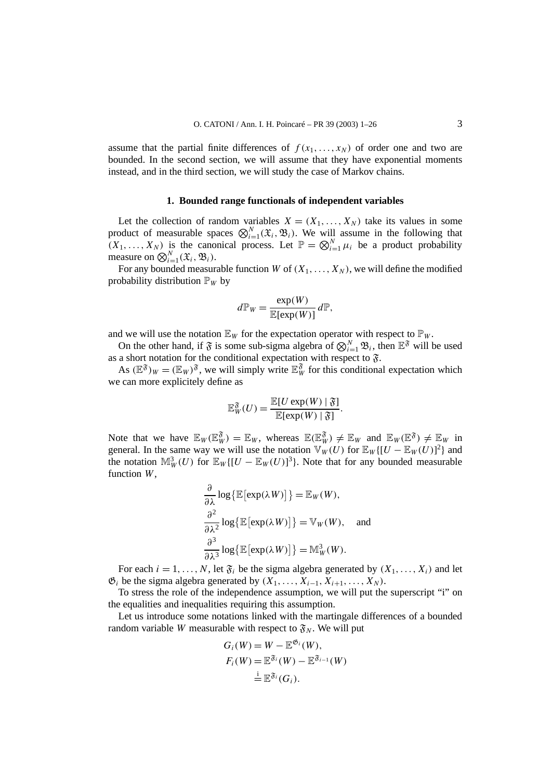assume that the partial finite differences of  $f(x_1,...,x_N)$  of order one and two are bounded. In the second section, we will assume that they have exponential moments instead, and in the third section, we will study the case of Markov chains.

### **1. Bounded range functionals of independent variables**

Let the collection of random variables  $X = (X_1, \ldots, X_N)$  take its values in some product of measurable spaces  $\bigotimes_{i=1}^{N} (\mathfrak{X}_i, \mathfrak{B}_i)$ . We will assume in the following that  $(X_1, \ldots, X_N)$  is the canonical process. Let  $\mathbb{P} = \bigotimes_{i=1}^N \mu_i$  be a product probability measure on  $\bigotimes_{i=1}^{N} (\mathfrak{X}_i, \mathfrak{B}_i)$ .

For any bounded measurable function *W* of  $(X_1, \ldots, X_N)$ , we will define the modified probability distribution  $\mathbb{P}_W$  by

$$
d\mathbb{P}_W = \frac{\exp(W)}{\mathbb{E}[\exp(W)]} d\mathbb{P},
$$

and we will use the notation  $\mathbb{E}_W$  for the expectation operator with respect to  $\mathbb{P}_W$ .

On the other hand, if  $\mathfrak{F}$  is some sub-sigma algebra of  $\bigotimes_{i=1}^{N} \mathfrak{B}_i$ , then  $\mathbb{E}^{\mathfrak{F}}$  will be used as a short notation for the conditional expectation with respect to  $\mathfrak{F}$ .

As  $(\mathbb{E}^{\mathfrak{F}})_{W} = (\mathbb{E}_{W})^{\mathfrak{F}}$ , we will simply write  $\mathbb{E}_{W}^{\mathfrak{F}}$  for this conditional expectation which we can more explicitely define as

$$
\mathbb{E}_{W}^{\mathfrak{F}}(U) = \frac{\mathbb{E}[U \exp(W) \mid \mathfrak{F}]}{\mathbb{E}[\exp(W) \mid \mathfrak{F}]}.
$$

Note that we have  $\mathbb{E}_W(\mathbb{E}_W^{\mathfrak{F}}) = \mathbb{E}_W$ , whereas  $\mathbb{E}(\mathbb{E}_W^{\mathfrak{F}}) \neq \mathbb{E}_W$  and  $\mathbb{E}_W(\mathbb{E}^{\mathfrak{F}}) \neq \mathbb{E}_W$  in general. In the same way we will use the notation  $\mathbb{V}_W(U)$  for  $\mathbb{E}_W\{[U-\mathbb{E}_W(U)]^2\}$  and the notation  $\mathbb{M}_{W}^{3}(U)$  for  $\mathbb{E}_{W}([U - \mathbb{E}_{W}(U)]^{3})$ . Note that for any bounded measurable function *W*,

$$
\frac{\partial}{\partial \lambda} \log \{\mathbb{E}[\exp(\lambda W)]\} = \mathbb{E}_W(W),
$$
  

$$
\frac{\partial^2}{\partial \lambda^2} \log \{\mathbb{E}[\exp(\lambda W)]\} = \mathbb{V}_W(W), \text{ and}
$$
  

$$
\frac{\partial^3}{\partial \lambda^3} \log \{\mathbb{E}[\exp(\lambda W)]\} = \mathbb{M}_W^3(W).
$$

For each  $i = 1, \ldots, N$ , let  $\mathfrak{F}_i$  be the sigma algebra generated by  $(X_1, \ldots, X_i)$  and let  $\mathfrak{G}_i$  be the sigma algebra generated by  $(X_1, \ldots, X_{i-1}, X_{i+1}, \ldots, X_N)$ .

To stress the role of the independence assumption, we will put the superscript "i" on the equalities and inequalities requiring this assumption.

Let us introduce some notations linked with the martingale differences of a bounded random variable *W* measurable with respect to  $\mathfrak{F}_N$ . We will put

$$
G_i(W) = W - \mathbb{E}^{\mathfrak{G}_i}(W),
$$
  
\n
$$
F_i(W) = \mathbb{E}^{\mathfrak{F}_i}(W) - \mathbb{E}^{\mathfrak{F}_{i-1}}(W)
$$
  
\n
$$
\stackrel{i}{=} \mathbb{E}^{\mathfrak{F}_i}(G_i).
$$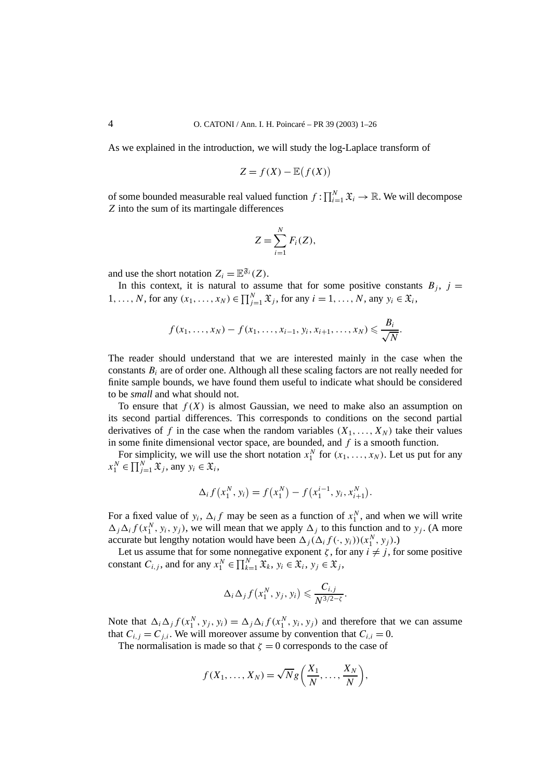As we explained in the introduction, we will study the log-Laplace transform of

$$
Z = f(X) - \mathbb{E}(f(X))
$$

of some bounded measurable real valued function  $f: \prod_{i=1}^{N} \mathfrak{X}_i \to \mathbb{R}$ . We will decompose *Z* into the sum of its martingale differences

$$
Z = \sum_{i=1}^{N} F_i(Z),
$$

and use the short notation  $Z_i = \mathbb{E}^{\mathfrak{F}_i}(Z)$ .

In this context, it is natural to assume that for some positive constants  $B_i$ ,  $j =$ 1,..., *N*, for any  $(x_1, ..., x_N) \in \prod_{j=1}^N \mathfrak{X}_j$ , for any  $i = 1, ..., N$ , any  $y_i \in \mathfrak{X}_i$ ,

$$
f(x_1,...,x_N) - f(x_1,...,x_{i-1},y_i,x_{i+1},...,x_N) \leq \frac{B_i}{\sqrt{N}}.
$$

The reader should understand that we are interested mainly in the case when the constants *Bi* are of order one. Although all these scaling factors are not really needed for finite sample bounds, we have found them useful to indicate what should be considered to be *small* and what should not.

To ensure that  $f(X)$  is almost Gaussian, we need to make also an assumption on its second partial differences. This corresponds to conditions on the second partial derivatives of f in the case when the random variables  $(X_1, \ldots, X_N)$  take their values in some finite dimensional vector space, are bounded, and *f* is a smooth function.

For simplicity, we will use the short notation  $x_1^N$  for  $(x_1, \ldots, x_N)$ . Let us put for any  $x_1^N \in \prod_{j=1}^N \mathfrak{X}_j$ , any  $y_i \in \mathfrak{X}_i$ ,

$$
\Delta_i f(x_1^N, y_i) = f(x_1^N) - f(x_1^{i-1}, y_i, x_{i+1}^N).
$$

For a fixed value of  $y_i$ ,  $\Delta_i f$  may be seen as a function of  $x_1^N$ , and when we will write  $\Delta_j \Delta_i f(x_1^N, y_i, y_j)$ , we will mean that we apply  $\Delta_j$  to this function and to *y<sub>j</sub>*. (A more accurate but lengthy notation would have been  $\Delta_j(\Delta_i f(\cdot, y_i))(x_1^N, y_j)$ .)

Let us assume that for some nonnegative exponent  $\zeta$ , for any  $i \neq j$ , for some positive constant *C*<sub>*i*, *j*</sub>, and for any  $x_1^N \in \prod_{k=1}^N \mathfrak{X}_k$ ,  $y_i \in \mathfrak{X}_i$ ,  $y_j \in \mathfrak{X}_j$ ,

$$
\Delta_i \Delta_j f(x_1^N, y_j, y_i) \leqslant \frac{C_{i,j}}{N^{3/2-\zeta}}.
$$

Note that  $\Delta_i \Delta_j f(x_1^N, y_j, y_i) = \Delta_j \Delta_i f(x_1^N, y_i, y_j)$  and therefore that we can assume that  $C_{i,j} = C_{j,i}$ . We will moreover assume by convention that  $C_{i,i} = 0$ .

The normalisation is made so that  $\zeta = 0$  corresponds to the case of

$$
f(X_1,\ldots,X_N)=\sqrt{N}g\bigg(\frac{X_1}{N},\ldots,\frac{X_N}{N}\bigg),
$$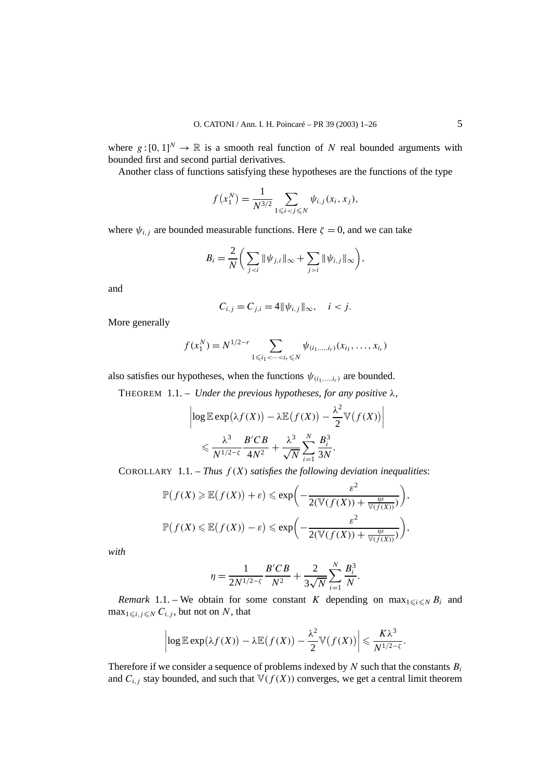where  $g:[0,1]^N \to \mathbb{R}$  is a smooth real function of N real bounded arguments with bounded first and second partial derivatives.

Another class of functions satisfying these hypotheses are the functions of the type

$$
f(x_1^N) = \frac{1}{N^{3/2}} \sum_{1 \le i < j \le N} \psi_{i,j}(x_i, x_j),
$$

where  $\psi_{i,j}$  are bounded measurable functions. Here  $\zeta = 0$ , and we can take

$$
B_i = \frac{2}{N} \bigg( \sum_{j < i} \|\psi_{j,i}\|_{\infty} + \sum_{j > i} \|\psi_{i,j}\|_{\infty} \bigg),
$$

and

$$
C_{i,j} = C_{j,i} = 4 ||\psi_{i,j}||_{\infty}, \quad i < j.
$$

More generally

$$
f(x_1^N) = N^{1/2-r} \sum_{1 \leq i_1 < \dots < i_r \leq N} \psi_{(i_1, \dots, i_r)}(x_{i_1}, \dots, x_{i_r})
$$

also satisfies our hypotheses, when the functions  $\psi_{(i_1,\ldots,i_r)}$  are bounded.

THEOREM 1.1. – *Under the previous hypotheses, for any positive λ,*

$$
\left| \log \mathbb{E} \exp(\lambda f(X)) - \lambda \mathbb{E} (f(X)) - \frac{\lambda^2}{2} \mathbb{V} (f(X)) \right|
$$
  
\$\leqslant \frac{\lambda^3}{N^{1/2-\zeta}} \frac{B'CB}{4N^2} + \frac{\lambda^3}{\sqrt{N}} \sum\_{i=1}^N \frac{B\_i^3}{3N}.

COROLLARY 1.1. – *Thus*  $f(X)$  *satisfies the following deviation inequalities*:

$$
\mathbb{P}(f(X) \geq \mathbb{E}(f(X)) + \varepsilon) \leq \exp\left(-\frac{\varepsilon^2}{2(\mathbb{V}(f(X)) + \frac{\eta\varepsilon}{\mathbb{V}(f(X))})}\right),
$$
  

$$
\mathbb{P}(f(X) \leq \mathbb{E}(f(X)) - \varepsilon) \leq \exp\left(-\frac{\varepsilon^2}{2(\mathbb{V}(f(X)) + \frac{\eta\varepsilon}{\mathbb{V}(f(X))})}\right),
$$

*with*

$$
\eta = \frac{1}{2N^{1/2-\zeta}} \frac{B'CB}{N^2} + \frac{2}{3\sqrt{N}} \sum_{i=1}^N \frac{B_i^3}{N}.
$$

*Remark* 1.1. – We obtain for some constant *K* depending on  $\max_{1 \le i \le N} B_i$  and  $\max_{1 \leq i, j \leq N} C_{i,j}$ , but not on *N*, that

$$
\left|\log \mathbb{E} \exp(\lambda f(X)) - \lambda \mathbb{E}\big(f(X)\big) - \frac{\lambda^2}{2} \mathbb{V}\big(f(X)\big)\right| \leqslant \frac{K\lambda^3}{N^{1/2-\zeta}}.
$$

Therefore if we consider a sequence of problems indexed by *N* such that the constants *Bi* and  $C_{i,j}$  stay bounded, and such that  $\mathbb{V}(f(X))$  converges, we get a central limit theorem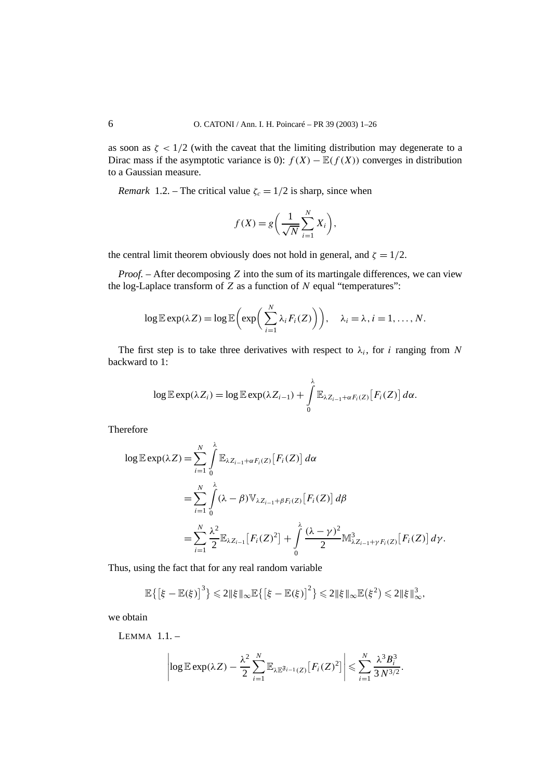as soon as  $\zeta$  < 1/2 (with the caveat that the limiting distribution may degenerate to a Dirac mass if the asymptotic variance is 0):  $f(X) - \mathbb{E}(f(X))$  converges in distribution to a Gaussian measure.

*Remark* 1.2. – The critical value  $\zeta_c = 1/2$  is sharp, since when

$$
f(X) = g\left(\frac{1}{\sqrt{N}}\sum_{i=1}^{N} X_i\right),\,
$$

the central limit theorem obviously does not hold in general, and  $\zeta = 1/2$ .

*Proof. –* After decomposing *Z* into the sum of its martingale differences, we can view the log-Laplace transform of *Z* as a function of *N* equal "temperatures":

$$
\log \mathbb{E} \exp(\lambda Z) = \log \mathbb{E} \bigg( \exp \bigg( \sum_{i=1}^N \lambda_i F_i(Z) \bigg) \bigg), \quad \lambda_i = \lambda, i = 1, \ldots, N.
$$

The first step is to take three derivatives with respect to  $\lambda_i$ , for *i* ranging from *N* backward to 1:

$$
\log \mathbb{E} \exp(\lambda Z_i) = \log \mathbb{E} \exp(\lambda Z_{i-1}) + \int\limits_0^{\lambda} \mathbb{E}_{\lambda Z_{i-1} + \alpha F_i(Z)} [F_i(Z)] d\alpha.
$$

Therefore

$$
\log \mathbb{E} \exp(\lambda Z) = \sum_{i=1}^{N} \int_{0}^{\lambda} \mathbb{E}_{\lambda Z_{i-1} + \alpha F_i(Z)} [F_i(Z)] d\alpha
$$
  
= 
$$
\sum_{i=1}^{N} \int_{0}^{\lambda} (\lambda - \beta) \mathbb{V}_{\lambda Z_{i-1} + \beta F_i(Z)} [F_i(Z)] d\beta
$$
  
= 
$$
\sum_{i=1}^{N} \frac{\lambda^2}{2} \mathbb{E}_{\lambda Z_{i-1}} [F_i(Z)^2] + \int_{0}^{\lambda} \frac{(\lambda - \gamma)^2}{2} \mathbb{M}_{\lambda Z_{i-1} + \gamma F_i(Z)}^3 [F_i(Z)] d\gamma.
$$

Thus, using the fact that for any real random variable

$$
\mathbb{E}\left\{\left[\xi-\mathbb{E}(\xi)\right]^3\right\}\leq 2\|\xi\|_{\infty}\mathbb{E}\left\{\left[\xi-\mathbb{E}(\xi)\right]^2\right\}\leq 2\|\xi\|_{\infty}\mathbb{E}(\xi^2)\leq 2\|\xi\|_{\infty}^3,
$$

we obtain

LEMMA  $11$  –

$$
\left|\log \mathbb{E} \exp(\lambda Z) - \frac{\lambda^2}{2} \sum_{i=1}^N \mathbb{E}_{\lambda \mathbb{E}^{\mathfrak{F}_{i-1}}(Z)} [F_i(Z)^2] \right| \leqslant \sum_{i=1}^N \frac{\lambda^3 B_i^3}{3 N^{3/2}}.
$$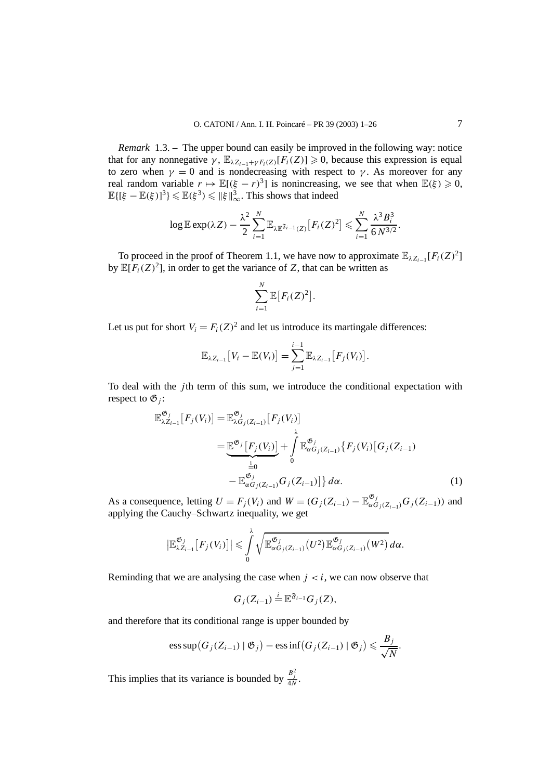*Remark* 1.3. – The upper bound can easily be improved in the following way: notice that for any nonnegative  $\gamma$ ,  $\mathbb{E}_{\lambda Z_{i-1}+\gamma F_i(Z)}[F_i(Z)] \geq 0$ , because this expression is equal to zero when  $\gamma = 0$  and is nondecreasing with respect to *γ*. As moreover for any real random variable  $r \mapsto \mathbb{E}[(\xi - r)^3]$  is nonincreasing, we see that when  $\mathbb{E}(\xi) \geq 0$ ,  $\mathbb{E}\{[\xi-\mathbb{E}(\xi)]^3\} \leq \mathbb{E}(\xi^3) \leq \|\xi\|_{\infty}^3$ . This shows that indeed

$$
\log \mathbb{E} \exp(\lambda Z) - \frac{\lambda^2}{2} \sum_{i=1}^N \mathbb{E}_{\lambda \mathbb{E}^{\mathfrak{F}_{i-1}}(Z)} [F_i(Z)^2] \leqslant \sum_{i=1}^N \frac{\lambda^3 B_i^3}{6 N^{3/2}}.
$$

To proceed in the proof of Theorem 1.1, we have now to approximate  $\mathbb{E}_{\lambda Z_{i-1}}[F_i(Z)^2]$ by  $\mathbb{E}[F_i(Z)^2]$ , in order to get the variance of *Z*, that can be written as

$$
\sum_{i=1}^N \mathbb{E}\big[F_i(Z)^2\big].
$$

Let us put for short  $V_i = F_i(Z)^2$  and let us introduce its martingale differences:

$$
\mathbb{E}_{\lambda Z_{i-1}}[V_i - \mathbb{E}(V_i)] = \sum_{j=1}^{i-1} \mathbb{E}_{\lambda Z_{i-1}}[F_j(V_i)].
$$

To deal with the *j* th term of this sum, we introduce the conditional expectation with respect to  $\mathfrak{G}_i$ :

$$
\mathbb{E}_{\lambda Z_{i-1}}^{\mathfrak{G}_j}[F_j(V_i)] = \mathbb{E}_{\lambda G_j(Z_{i-1})}^{\mathfrak{G}_j}[F_j(V_i)]
$$
\n
$$
= \underbrace{\mathbb{E}^{\mathfrak{G}_j}[F_j(V_i)]}_{\stackrel{i}{=0}} + \int_{0}^{\lambda} \mathbb{E}_{\alpha G_j(Z_{i-1})}^{\mathfrak{G}_j}\{F_j(V_i)[G_j(Z_{i-1})]
$$
\n
$$
- \mathbb{E}_{\alpha G_j(Z_{i-1})}^{\mathfrak{G}_j}(Z_{i-1})\} d\alpha.
$$
\n(1)

As a consequence, letting  $U = F_j(V_i)$  and  $W = (G_j(Z_{i-1}) - \mathbb{E}_{\alpha G_j(Z_{i-1})}^{\mathfrak{G}_j} G_j(Z_{i-1}))$  and applying the Cauchy–Schwartz inequality, we get

$$
\left|\mathbb{E}_{\lambda Z_{i-1}}^{\mathfrak{G}_j}[F_j(V_i)]\right|\leq \int\limits_0^{\lambda}\sqrt{\mathbb{E}_{\alpha G_j(Z_{i-1})}^{\mathfrak{G}_j}(U^2)\mathbb{E}_{\alpha G_j(Z_{i-1})}^{\mathfrak{G}_j}(W^2)}\,d\alpha.
$$

Reminding that we are analysing the case when  $j < i$ , we can now observe that

$$
G_j(Z_{i-1})\stackrel{i}{=}\mathbb{E}^{\mathfrak{F}_{i-1}}G_j(Z),
$$

and therefore that its conditional range is upper bounded by

ess sup
$$
(G_j(Z_{i-1}) | \mathfrak{G}_j) - \text{ess inf}(G_j(Z_{i-1}) | \mathfrak{G}_j) \leq \frac{B_j}{\sqrt{N}}
$$
.

This implies that its variance is bounded by  $\frac{B_j^2}{4N}$ .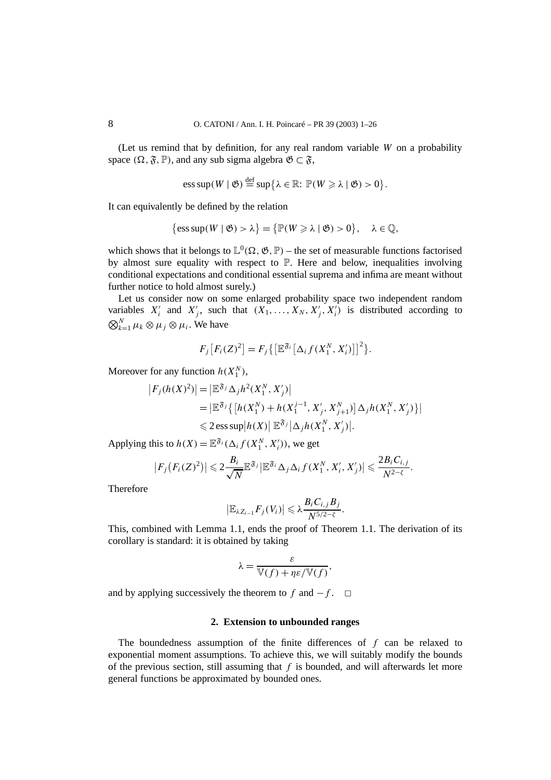(Let us remind that by definition, for any real random variable *W* on a probability space  $(\Omega, \mathfrak{F}, \mathbb{P})$ , and any sub sigma algebra  $\mathfrak{G} \subset \mathfrak{F}$ ,

$$
\mathrm{ess\,sup}(W \mid \mathfrak{G}) \stackrel{\mathrm{def}}{=} \mathrm{sup}\big\{\lambda \in \mathbb{R} \colon \mathbb{P}(W \geq \lambda \mid \mathfrak{G}) > 0\big\}.
$$

It can equivalently be defined by the relation

$$
\{\operatorname{ess\,sup}(W \mid \mathfrak{G}) > \lambda\} = \{\mathbb{P}(W \geqslant \lambda \mid \mathfrak{G}) > 0\}, \quad \lambda \in \mathbb{Q},
$$

which shows that it belongs to  $\mathbb{L}^0(\Omega,\mathfrak{G},\mathbb{P})$  – the set of measurable functions factorised by almost sure equality with respect to P. Here and below, inequalities involving conditional expectations and conditional essential suprema and infima are meant without further notice to hold almost surely.)

Let us consider now on some enlarged probability space two independent random variables  $X'_i$  and  $X'_j$ , such that  $(X_1, \ldots, X_N, X'_j, X'_i)$  is distributed according to  $\bigotimes_{k=1}^{N} \mu_k \otimes \mu_j \otimes \mu_i$ . We have

$$
F_j\big[F_i(Z)^2\big] = F_j\big\{\big[\mathbb{E}^{\mathfrak{F}_i}\big[\Delta_i f(X_1^N, X_i')\big]\big]^2\big\}.
$$

Moreover for any function  $h(X_1^N)$ ,

$$
|F_j(h(X)^2)| = |\mathbb{E}^{\mathfrak{F}_j} \Delta_j h^2(X_1^N, X_j')|
$$
  
=  $|\mathbb{E}^{\mathfrak{F}_j} \{ [h(X_1^N) + h(X_1^{j-1}, X_j', X_{j+1}^N)] \Delta_j h(X_1^N, X_j') \} |$   
 $\leq 2 \operatorname{ess} \sup |h(X)| \mathbb{E}^{\mathfrak{F}_j} |\Delta_j h(X_1^N, X_j')|.$ 

Applying this to  $h(X) = \mathbb{E}^{\mathfrak{F}_i}(\Delta_i f(X_1^N, X_i'))$ , we get

$$
\left|F_j\big(F_i(Z)^2\big)\right|\leqslant 2\frac{B_i}{\sqrt{N}}\mathbb{E}^{\mathfrak{F}_j}\left|\mathbb{E}^{\mathfrak{F}_i}\Delta_j\Delta_i f(X_1^N,X_i',X_j')\right|\leqslant \frac{2B_iC_{i,j}}{N^{2-\zeta}}.
$$

Therefore

$$
\left|\mathbb{E}_{\lambda Z_{i-1}}F_j(V_i)\right|\leqslant \lambda \frac{B_i C_{i,j}B_j}{N^{5/2-\zeta}}.
$$

This, combined with Lemma 1.1, ends the proof of Theorem 1.1. The derivation of its corollary is standard: it is obtained by taking

$$
\lambda = \frac{\varepsilon}{\mathbb{V}(f) + \eta \varepsilon / \mathbb{V}(f)},
$$

and by applying successively the theorem to  $f$  and  $-f$ .  $\Box$ 

## **2. Extension to unbounded ranges**

The boundedness assumption of the finite differences of *f* can be relaxed to exponential moment assumptions. To achieve this, we will suitably modify the bounds of the previous section, still assuming that *f* is bounded, and will afterwards let more general functions be approximated by bounded ones.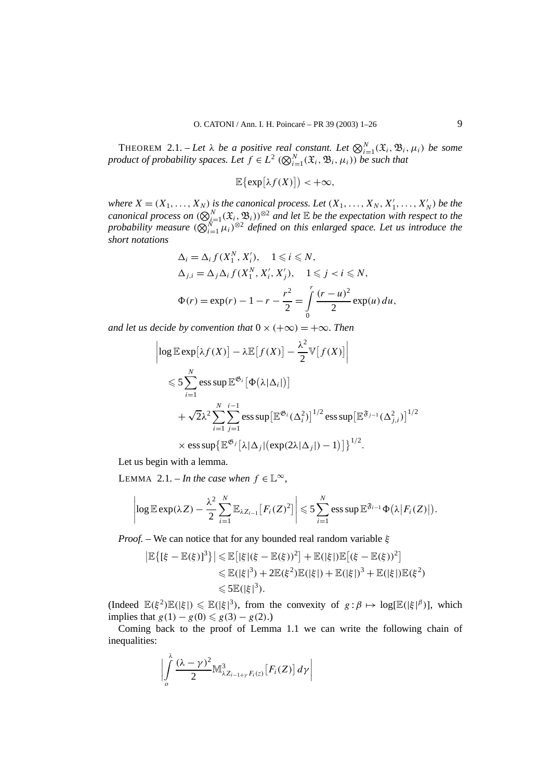THEOREM 2.1. – Let  $\lambda$  be a positive real constant. Let  $\bigotimes_{i=1}^{N} (\mathfrak{X}_i, \mathfrak{B}_i, \mu_i)$  be some *product of probability spaces. Let*  $f \in L^2$   $(Q_{i=1}^N(\mathfrak{X}_i,\mathfrak{B}_i,\mu_i))$  *be such that* 

$$
\mathbb{E}\bigl\{\exp\bigl[\lambda f(X)\bigr]\bigr) < +\infty,
$$

*where*  $X = (X_1, \ldots, X_N)$  *is the canonical process. Let*  $(X_1, \ldots, X_N, X'_1, \ldots, X'_N)$  *be the canonical process on*  $(Q_{i=1}^N(\mathfrak{X}_i, \mathfrak{B}_i))^{\otimes 2}$  *and let*  $\mathbb E$  *be the expectation with respect to the probability measure*  $(Q_{i=1}^N \mu_i)^{\otimes 2}$  *defined on this enlarged space. Let us introduce the short notations*

$$
\Delta_i = \Delta_i f(X_1^N, X_i'), \quad 1 \le i \le N, \n\Delta_{j,i} = \Delta_j \Delta_i f(X_1^N, X_i', X_j'), \quad 1 \le j < i \le N, \n\Phi(r) = \exp(r) - 1 - r - \frac{r^2}{2} = \int_0^r \frac{(r - u)^2}{2} \exp(u) \, du,
$$

*and let us decide by convention that*  $0 \times (+\infty) = +\infty$ *. Then* 

$$
\left| \log \mathbb{E} \exp[\lambda f(X)] - \lambda \mathbb{E} [f(X)] - \frac{\lambda^2}{2} \mathbb{V} [f(X)] \right|
$$
  
\n
$$
\leq \sum_{i=1}^N \mathbb{E} \exp \mathbb{E}^{\mathfrak{G}_i} [\Phi(\lambda | \Delta_i |)]
$$
  
\n
$$
+ \sqrt{2} \lambda^2 \sum_{i=1}^N \sum_{j=1}^{i-1} \mathbb{E} \exp \left[ \mathbb{E}^{\mathfrak{G}_i} (\Delta_i^2) \right]^{1/2} \mathbb{E} \exp \left[ \mathbb{E}^{\mathfrak{F}_{j-1}} (\Delta_{j,i}^2) \right]^{1/2}
$$
  
\n
$$
\times \mathbb{E} \exp \left\{ \mathbb{E}^{\mathfrak{G}_j} [\lambda | \Delta_j | (\exp(2\lambda | \Delta_j |) - 1)] \right\}^{1/2}.
$$

Let us begin with a lemma.

LEMMA 2.1. – *In the case when*  $f \in \mathbb{L}^{\infty}$ ,

$$
\left|\log \mathbb{E} \exp(\lambda Z) - \frac{\lambda^2}{2}\sum_{i=1}^N \mathbb{E}_{\lambda Z_{i-1}}[F_i(Z)^2]\right| \leqslant 5\sum_{i=1}^N \exp \mathbb{E}^{\mathfrak{F}_{i-1}}\Phi(\lambda |F_i(Z)|).
$$

*Proof. –* We can notice that for any bounded real random variable *ξ*

$$
|\mathbb{E}\{[\xi - \mathbb{E}(\xi)]^3\}| \le \mathbb{E}[|\xi|(\xi - \mathbb{E}(\xi))^2] + \mathbb{E}(|\xi|)\mathbb{E}[(\xi - \mathbb{E}(\xi))^2]
$$
  

$$
\le \mathbb{E}(|\xi|^3) + 2\mathbb{E}(\xi^2)\mathbb{E}(|\xi|) + \mathbb{E}(|\xi|)^3 + \mathbb{E}(|\xi|)\mathbb{E}(\xi^2)
$$
  

$$
\le 5\mathbb{E}(|\xi|^3).
$$

 $(\text{Indeed } \mathbb{E}(\xi^2)\mathbb{E}(|\xi|) \leq \mathbb{E}(|\xi|^3)$ , from the convexity of  $g:\beta \mapsto \log[\mathbb{E}(|\xi|^{\beta})]$ , which implies that *g*(1*)* − *g*(0*)* ≤ *g*(3*)* − *g*(2*)*.)

Coming back to the proof of Lemma 1.1 we can write the following chain of inequalities:

$$
\left|\int\limits_{o}^{\lambda}\frac{(\lambda-\gamma)^2}{2}\mathbb M^3_{\lambda Z_{i-1+\gamma}F_i(z)}\big[F_i(Z)\big]\,d\gamma\right|
$$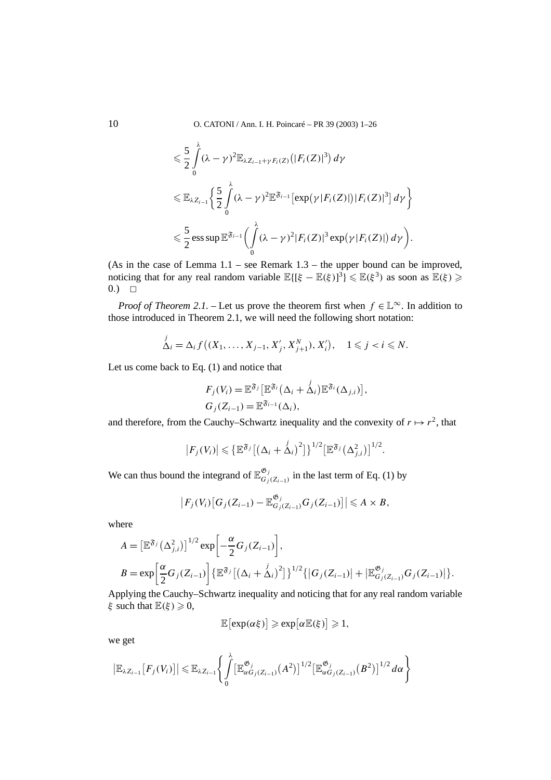$$
\leq \frac{5}{2} \int_{0}^{\lambda} (\lambda - \gamma)^{2} \mathbb{E}_{\lambda Z_{i-1} + \gamma F_{i}(Z)} (|F_{i}(Z)|^{3}) d\gamma
$$
  

$$
\leq \mathbb{E}_{\lambda Z_{i-1}} \Biggl\{ \frac{5}{2} \int_{0}^{\lambda} (\lambda - \gamma)^{2} \mathbb{E}^{\mathfrak{F}_{i-1}} \bigl[ \exp(\gamma |F_{i}(Z)|) |F_{i}(Z)|^{3} \bigr] d\gamma \Biggr\}
$$
  

$$
\leq \frac{5}{2} \operatorname{ess} \sup \mathbb{E}^{\mathfrak{F}_{i-1}} \Biggl( \int_{0}^{\lambda} (\lambda - \gamma)^{2} |F_{i}(Z)|^{3} \exp(\gamma |F_{i}(Z)|) d\gamma \Biggr).
$$

(As in the case of Lemma  $1.1$  – see Remark  $1.3$  – the upper bound can be improved, noticing that for any real random variable  $\mathbb{E}\{[\xi - \mathbb{E}(\xi)]^3\} \leq \mathbb{E}(\xi^3)$  as soon as  $\mathbb{E}(\xi) \geq$  $(0,)$   $\Box$ 

*Proof of Theorem 2.1.* – Let us prove the theorem first when  $f \in \mathbb{L}^{\infty}$ . In addition to those introduced in Theorem 2.1, we will need the following short notation:

$$
\stackrel{j}{\Delta_i} = \Delta_i f((X_1, \ldots, X_{j-1}, X'_j, X''_{j+1}), X'_i), \quad 1 \leq j < i \leq N.
$$

Let us come back to Eq. (1) and notice that

*λ*

$$
F_j(V_i) = \mathbb{E}^{\mathfrak{F}_j} \big[ \mathbb{E}^{\mathfrak{F}_i} \big( \Delta_i + \Delta_i \big) \mathbb{E}^{\mathfrak{F}_i} \big( \Delta_{j,i} \big) \big],
$$
  
\n
$$
G_j(Z_{i-1}) = \mathbb{E}^{\mathfrak{F}_{i-1}} \big( \Delta_i \big),
$$

and therefore, from the Cauchy–Schwartz inequality and the convexity of  $r \mapsto r^2$ , that

$$
\left|F_j(V_i)\right| \leqslant \left\{\mathbb{E}^{\mathfrak{F}_j}\left[\left(\Delta_i+\Delta_i\right)^2\right]\right\}^{1/2}\left[\mathbb{E}^{\mathfrak{F}_j}\left(\Delta_{j,i}^2\right)\right]^{1/2}.
$$

We can thus bound the integrand of  $\mathbb{E}_{G_j(Z_{i-1})}^{\mathfrak{G}_j}$  in the last term of Eq. (1) by

$$
\big|F_j(V_i)\big[G_j(Z_{i-1})-\mathbb{E}_{G_j(Z_{i-1})}^{\mathfrak{G}_j}G_j(Z_{i-1})\big]\big|\leqslant A\times B,
$$

where

$$
A = \left[\mathbb{E}^{\mathfrak{F}_j}(\Delta_{j,i}^2)\right]^{1/2} \exp\left[-\frac{\alpha}{2}G_j(Z_{i-1})\right],
$$
  
\n
$$
B = \exp\left[\frac{\alpha}{2}G_j(Z_{i-1})\right] \left\{\mathbb{E}^{\mathfrak{F}_j}[(\Delta_i + \Delta_i)^2]\right\}^{1/2} \left\{|G_j(Z_{i-1})| + |\mathbb{E}^{\mathfrak{G}_j}_{G_j(Z_{i-1})}G_j(Z_{i-1})|\right\}.
$$

Applying the Cauchy–Schwartz inequality and noticing that for any real random variable *ξ* such that  $\mathbb{E}(\xi) \geq 0$ ,

$$
\mathbb{E}\bigl[\text{exp}(\alpha \xi)\bigr] \geqslant \text{exp}\bigl[\alpha \mathbb{E}(\xi)\bigr] \geqslant 1,
$$

we get

$$
\left|\mathbb{E}_{\lambda Z_{i-1}}[F_j(V_i)]\right| \leq \mathbb{E}_{\lambda Z_{i-1}}\left\{\int\limits_0^{\lambda}\left[\mathbb{E}_{\alpha G_j(Z_{i-1})}^{\mathfrak{G}_j}(A^2)\right]^{1/2}\left[\mathbb{E}_{\alpha G_j(Z_{i-1})}^{\mathfrak{G}_j}(B^2)\right]^{1/2}d\alpha\right\}
$$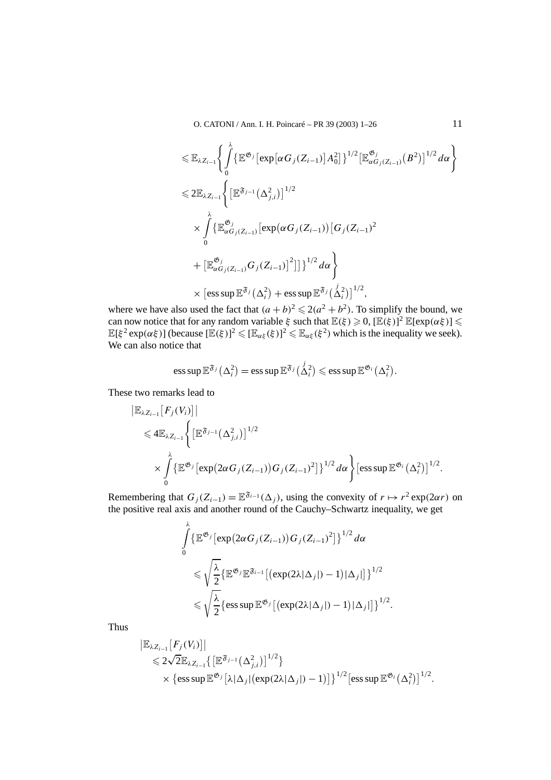O. CATONI / Ann. I. H. Poincaré – PR 39 (2003) 1–26 11

$$
\leq \mathbb{E}_{\lambda Z_{i-1}} \Biggl\{ \int_{0}^{\lambda} \{ \mathbb{E}^{\mathfrak{G}_{j}} \left[ \exp \left[ \alpha G_{j}(Z_{i-1}) \right] A_{0}^{2} \right] \}^{1/2} \left[ \mathbb{E}^{\mathfrak{G}_{j}}_{\alpha G_{j}(Z_{i-1})} (B^{2}) \right]^{1/2} d\alpha \Biggr\}
$$
  
\n
$$
\leq 2 \mathbb{E}_{\lambda Z_{i-1}} \Biggl\{ \left[ \mathbb{E}^{\mathfrak{F}_{j-1}} \left( \Delta_{j,i}^{2} \right) \right]^{1/2} \n\times \int_{0}^{\lambda} \{ \mathbb{E}^{\mathfrak{G}_{j}}_{\alpha G_{j}(Z_{i-1})} \left[ \exp \left( \alpha G_{j}(Z_{i-1}) \right) \left[ G_{j}(Z_{i-1})^{2} \right. \right. \Biggr\}
$$
  
\n
$$
+ \left[ \mathbb{E}^{\mathfrak{G}_{j}}_{\alpha G_{j}(Z_{i-1})} G_{j}(Z_{i-1}) \right]^{2} \right] \Biggr\}^{1/2} d\alpha \Biggr\}
$$
  
\n
$$
\times \left[ \text{ess} \sup \mathbb{E}^{\mathfrak{F}_{j}} \left( \Delta_{i}^{2} \right) + \text{ess} \sup \mathbb{E}^{\mathfrak{F}_{j}} \left( \Delta_{i}^{2} \right) \right]^{1/2},
$$

where we have also used the fact that  $(a + b)^2 \leq 2(a^2 + b^2)$ . To simplify the bound, we can now notice that for any random variable  $\xi$  such that  $\mathbb{E}(\xi) \geqslant 0$ ,  $[\mathbb{E}(\xi)]^2$   $\mathbb{E}[\exp(\alpha \xi)] \leqslant$  $\mathbb{E}[\xi^2 \exp(\alpha \xi)]$  (because  $[\mathbb{E}(\xi)]^2 \leqslant [\mathbb{E}_{\alpha\xi}(\xi)]^2 \leqslant \mathbb{E}_{\alpha\xi}(\xi^2)$  which is the inequality we seek). We can also notice that

ess sup 
$$
\mathbb{E}^{\mathfrak{F}_j}(\Delta_i^2) = \operatorname{ess} \operatorname{sup} \mathbb{E}^{\mathfrak{F}_j}(\Delta_i^2) \leq \operatorname{ess} \operatorname{sup} \mathbb{E}^{\mathfrak{G}_i}(\Delta_i^2).
$$

These two remarks lead to

$$
\| \mathbb{E}_{\lambda Z_{i-1}} [F_j(V_i)] \|
$$
  
\n
$$
\leq 4 \mathbb{E}_{\lambda Z_{i-1}} \Biggl\{ \bigl[ \mathbb{E}^{\mathfrak{F}_{j-1}} (\Delta_{j,i}^2) \bigr]^{1/2}
$$
  
\n
$$
\times \int_{0}^{\lambda} \{ \mathbb{E}^{\mathfrak{G}_j} [\exp(2\alpha G_j(Z_{i-1})) G_j(Z_{i-1})^2] \}^{1/2} d\alpha \Biggr\} [\operatorname{ess} \sup \mathbb{E}^{\mathfrak{G}_i} (\Delta_i^2)]^{1/2}.
$$

Remembering that  $G_j(Z_{i-1}) = \mathbb{E}^{\mathfrak{F}_{i-1}}(\Delta_j)$ , using the convexity of  $r \mapsto r^2 \exp(2\alpha r)$  on the positive real axis and another round of the Cauchy–Schwartz inequality, we get

$$
\int_{0}^{\lambda} {\mathbb{E}^{\mathfrak{G}_j} [\exp(2\alpha G_j(Z_{i-1})) G_j(Z_{i-1})^2]}^{1/2} d\alpha
$$
  
\$\leqslant \sqrt{\frac{\lambda}{2}} {\mathbb{E}^{\mathfrak{G}\_j} \mathbb{E}^{\mathfrak{F}\_{i-1}} [(\exp(2\lambda|\Delta\_j|)-1)|\Delta\_j|]}^{1/2}\$  
\$\leqslant \sqrt{\frac{\lambda}{2}} {\mathbb{E}^{\mathfrak{G}\_j} [\exp(2\lambda|\Delta\_j|)-1)|\Delta\_j|}^{1/2}\$.

Thus

$$
\| \mathbb{E}_{\lambda Z_{i-1}} [F_j(V_i)] \| \leq 2\sqrt{2} \mathbb{E}_{\lambda Z_{i-1}} \{ \left[ \mathbb{E}^{\mathfrak{F}_{j-1}} (\Delta_{j,i}^2) \right]^{1/2} \} \times \{ \operatorname{ess} \operatorname{sup} \mathbb{E}^{\mathfrak{G}_j} [\lambda | \Delta_j | (\operatorname{exp}(2\lambda | \Delta_j |) - 1)] \}^{1/2} [\operatorname{ess} \operatorname{sup} \mathbb{E}^{\mathfrak{G}_i} (\Delta_i^2)]^{1/2}.
$$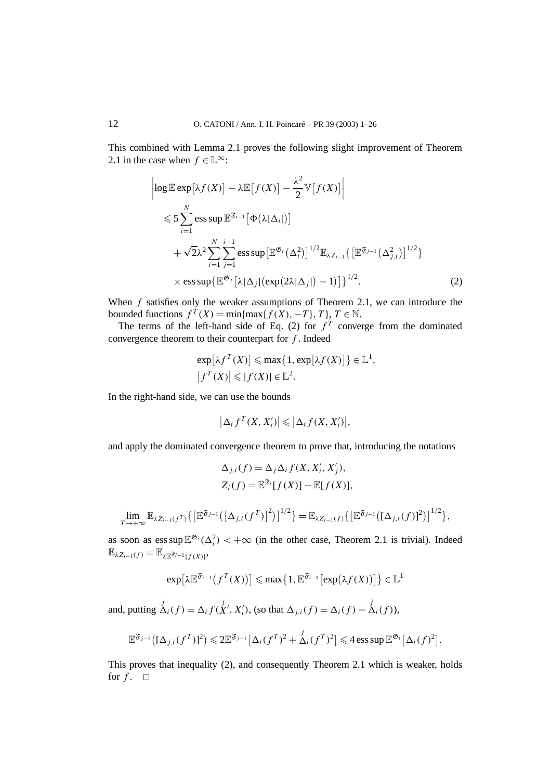This combined with Lemma 2.1 proves the following slight improvement of Theorem 2.1 in the case when  $f \in \mathbb{L}^{\infty}$ :

$$
\left| \log \mathbb{E} \exp \left[ \lambda f(X) \right] - \lambda \mathbb{E} \left[ f(X) \right] - \frac{\lambda^2}{2} \mathbb{V} \left[ f(X) \right] \right|
$$
  
\n
$$
\leqslant 5 \sum_{i=1}^{N} \mathop{\rm ess \, sup} \mathbb{E}^{\mathfrak{F}_{i-1}} \left[ \Phi \left( \lambda | \Delta_i | \right) \right]
$$
  
\n
$$
+ \sqrt{2} \lambda^2 \sum_{i=1}^{N} \sum_{j=1}^{i-1} \mathop{\rm ess \, sup} \left[ \mathbb{E}^{\mathfrak{G}_i} \left( \Delta_i^2 \right) \right]^{1/2} \mathbb{E}_{\lambda Z_{i-1}} \left\{ \left[ \mathbb{E}^{\mathfrak{F}_{j-1}} \left( \Delta_{j,i}^2 \right) \right]^{1/2} \right\}
$$
  
\n
$$
\times \mathop{\rm ess \, sup} \left\{ \mathbb{E}^{\mathfrak{G}_j} \left[ \lambda | \Delta_j | (\exp(2\lambda |\Delta_j|) - 1) \right] \right\}^{1/2}.
$$
 (2)

When *f* satisfies only the weaker assumptions of Theorem 2.1, we can introduce the bounded functions  $f^T(X) = \min\{\max\{f(X), -T\}, T\}, T \in \mathbb{N}.$ 

The terms of the left-hand side of Eq. (2) for  $f<sup>T</sup>$  converge from the dominated convergence theorem to their counterpart for *f* . Indeed

$$
\exp[\lambda f^T(X)] \le \max\{1, \exp[\lambda f(X)]\} \in \mathbb{L}^1,
$$
  

$$
|f^T(X)| \le |f(X)| \in \mathbb{L}^2.
$$

In the right-hand side, we can use the bounds

$$
\left|\Delta_i f^T(X,X_i')\right| \leqslant \left|\Delta_i f(X,X_i')\right|,
$$

and apply the dominated convergence theorem to prove that, introducing the notations

$$
\Delta_{j,i}(f) = \Delta_j \Delta_i f(X, X'_i, X'_j),
$$
  
\n
$$
Z_i(f) = \mathbb{E}^{\mathfrak{F}_i}[f(X)] - \mathbb{E}[f(X)],
$$

$$
\lim_{T \to +\infty} \mathbb{E}_{\lambda Z_{i-1}(f^T)} \{ \left[ \mathbb{E}^{\mathfrak{F}_{j-1}} \left( \left[ \Delta_{j,i}(f^T) \right]^2 \right) \right]^{1/2} \} = \mathbb{E}_{\lambda Z_{i-1}(f)} \{ \left[ \mathbb{E}^{\mathfrak{F}_{j-1}} \left( \left[ \Delta_{j,i}(f) \right]^2 \right) \right]^{1/2} \},
$$

as soon as  $\text{ess sup}\,\mathbb{E}^{\mathfrak{G}_i}(\Delta_i^2) < +\infty$  (in the other case, Theorem 2.1 is trivial). Indeed  $\mathbb{E}_{\lambda Z_{i-1}(f)} = \mathbb{E}_{\lambda \mathbb{E}^{\mathfrak{F}_{i-1}}[f(X)]},$ 

$$
\exp\left[\lambda \mathbb{E}^{\mathfrak{F}_{i-1}}\left(f^T(X)\right)\right] \leq \max\left\{1, \mathbb{E}^{\mathfrak{F}_{i-1}}\left[\exp\left(\lambda f(X)\right)\right]\right\} \in \mathbb{L}^1
$$

and, putting  $\Delta_i(f) = \Delta_i f(X', X'_i)$ , (so that  $\Delta_{j,i}(f) = \Delta_i(f) - \Delta_i(f)$ ),

$$
\mathbb{E}^{\mathfrak{F}_{j-1}}\big([\Delta_{j,i}(f^T)]^2\big) \leq 2\mathbb{E}^{\mathfrak{F}_{j-1}}\big[\Delta_i(f^T)^2 + \Delta_i(f^T)^2\big] \leq 4\operatorname{ess} \sup \mathbb{E}^{\mathfrak{G}_i}\big[\Delta_i(f)^2\big].
$$

This proves that inequality (2), and consequently Theorem 2.1 which is weaker, holds for  $f$ .  $\Box$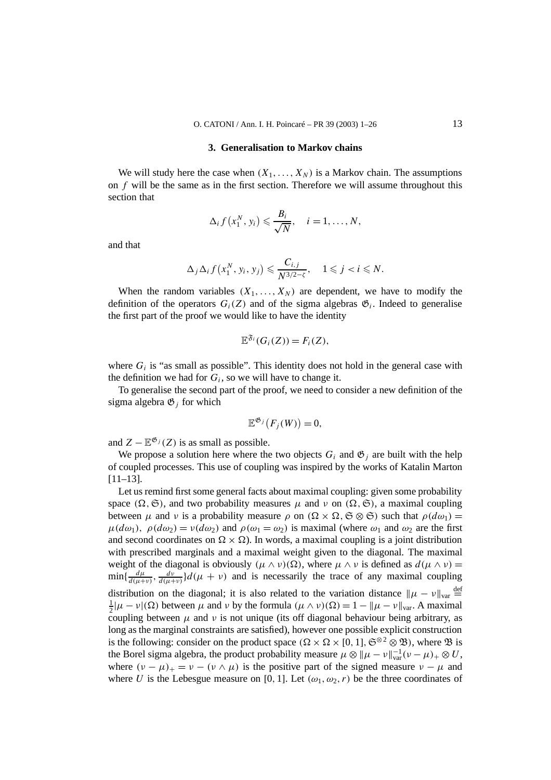#### **3. Generalisation to Markov chains**

We will study here the case when  $(X_1, \ldots, X_N)$  is a Markov chain. The assumptions on *f* will be the same as in the first section. Therefore we will assume throughout this section that

$$
\Delta_i f(x_1^N, y_i) \leqslant \frac{B_i}{\sqrt{N}}, \quad i = 1, \ldots, N,
$$

and that

$$
\Delta_j \Delta_i f(x_1^N, y_i, y_j) \leqslant \frac{C_{i,j}}{N^{3/2-\zeta}}, \quad 1 \leqslant j < i \leqslant N.
$$

When the random variables  $(X_1, \ldots, X_N)$  are dependent, we have to modify the definition of the operators  $G_i(Z)$  and of the sigma algebras  $\mathfrak{G}_i$ . Indeed to generalise the first part of the proof we would like to have the identity

$$
\mathbb{E}^{\mathfrak{F}_i}(G_i(Z))=F_i(Z),
$$

where  $G_i$  is "as small as possible". This identity does not hold in the general case with the definition we had for  $G_i$ , so we will have to change it.

To generalise the second part of the proof, we need to consider a new definition of the sigma algebra  $\mathfrak{G}_i$  for which

$$
\mathbb{E}^{\mathfrak{G}_j}(F_j(W))=0,
$$

and  $Z - \mathbb{E}^{\mathfrak{G}_j}(Z)$  is as small as possible.

We propose a solution here where the two objects  $G_i$  and  $\mathfrak{G}_i$  are built with the help of coupled processes. This use of coupling was inspired by the works of Katalin Marton [11–13].

Let us remind first some general facts about maximal coupling: given some probability space  $(\Omega, \mathfrak{S})$ , and two probability measures  $\mu$  and  $\nu$  on  $(\Omega, \mathfrak{S})$ , a maximal coupling between  $\mu$  and  $\nu$  is a probability measure  $\rho$  on  $(\Omega \times \Omega, \mathfrak{S} \otimes \mathfrak{S})$  such that  $\rho(d\omega_1) =$  $\mu(d\omega_1)$ ,  $\rho(d\omega_2) = \nu(d\omega_2)$  and  $\rho(\omega_1 = \omega_2)$  is maximal (where  $\omega_1$  and  $\omega_2$  are the first and second coordinates on  $\Omega \times \Omega$ ). In words, a maximal coupling is a joint distribution with prescribed marginals and a maximal weight given to the diagonal. The maximal weight of the diagonal is obviously  $(\mu \wedge \nu)(\Omega)$ , where  $\mu \wedge \nu$  is defined as  $d(\mu \wedge \nu)$  $\min\{\frac{d\mu}{d(\mu+\nu)},\frac{d\nu}{d(\mu+\nu)}\}d(\mu+\nu)$  and is necessarily the trace of any maximal coupling distribution on the diagonal; it is also related to the variation distance  $\|\mu - \nu\|_{var} \stackrel{\text{def}}{=}$  $\frac{1}{2}|\mu - \nu|(\Omega)$  between  $\mu$  and  $\nu$  by the formula  $(\mu \wedge \nu)(\Omega) = 1 - ||\mu - \nu||_{var}$ . A maximal coupling between  $\mu$  and  $\nu$  is not unique (its off diagonal behaviour being arbitrary, as long as the marginal constraints are satisfied), however one possible explicit construction is the following: consider on the product space  $(\Omega \times \Omega \times [0, 1], \mathfrak{S}^{\otimes 2} \otimes \mathfrak{B})$ , where  $\mathfrak{B}$  is the Borel sigma algebra, the product probability measure  $\mu \otimes \|\mu - \nu\|_{var}^{-1}(\nu - \mu)_{+} \otimes U$ , where  $(\nu - \mu)_+ = \nu - (\nu \wedge \mu)$  is the positive part of the signed measure  $\nu - \mu$  and where *U* is the Lebesgue measure on [0, 1]. Let  $(\omega_1, \omega_2, r)$  be the three coordinates of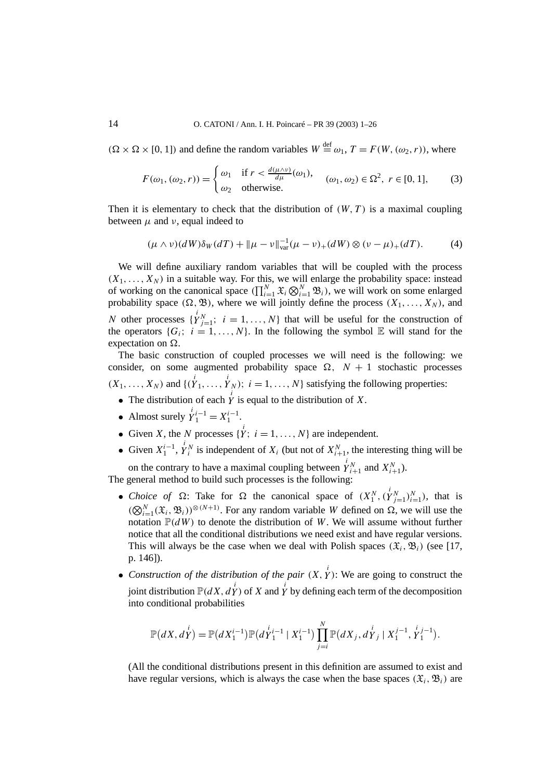$(\Omega \times \Omega \times [0, 1])$  and define the random variables  $W \stackrel{\text{def}}{=} \omega_1$ ,  $T = F(W, (\omega_2, r))$ , where

$$
F(\omega_1, (\omega_2, r)) = \begin{cases} \omega_1 & \text{if } r < \frac{d(\mu \wedge v)}{d\mu}(\omega_1), \\ \omega_2 & \text{otherwise.} \end{cases} \quad (\omega_1, \omega_2) \in \Omega^2, \ r \in [0, 1], \tag{3}
$$

Then it is elementary to check that the distribution of  $(W, T)$  is a maximal coupling between  $\mu$  and  $\nu$ , equal indeed to

$$
(\mu \wedge \nu)(dW)\delta_W(dT) + \|\mu - \nu\|_{var}^{-1}(\mu - \nu)_+(dW) \otimes (\nu - \mu)_+(dT). \tag{4}
$$

We will define auxiliary random variables that will be coupled with the process  $(X_1, \ldots, X_N)$  in a suitable way. For this, we will enlarge the probability space: instead of working on the canonical space  $(\prod_{i=1}^{N} \mathfrak{X}_i \otimes_{i=1}^{N} \mathfrak{B}_i)$ , we will work on some enlarged probability space  $(\Omega, \mathfrak{B})$ , where we will jointly define the process  $(X_1, \ldots, X_N)$ , and *N* other processes  $\{Y_{j=1}^i; i = 1, ..., N\}$  that will be useful for the construction of the operators  $\{G_i; i = 1, ..., N\}$ . In the following the symbol  $\mathbb E$  will stand for the expectation on  $\Omega$ .

The basic construction of coupled processes we will need is the following: we consider, on some augmented probability space  $\Omega$ ,  $N + 1$  stochastic processes  $(X_1, \ldots, X_N)$  and  $\{(\overrightarrow{Y}_1, \ldots, \overrightarrow{Y}_N); i = 1, \ldots, N\}$  satisfying the following properties:

- The distribution of each  $\overrightarrow{Y}$  is equal to the distribution of *X*.
- Almost surely  $\dot{Y}_1^{i-1} = X_1^{i-1}$ .
- Given *X*, the *N* processes  $\{ \dot{Y}; i = 1, ..., N \}$  are independent.
- Given  $X_1^{i-1}$ ,  $\dot{Y}_i^N$  is independent of  $X_i$  (but not of  $X_{i+1}^N$ , the interesting thing will be

on the contrary to have a maximal coupling between  $\dot{Y}_{i+1}^N$  and  $X_{i+1}^N$ ). The general method to build such processes is the following:

- *Choice of*  $\Omega$ : Take for  $\Omega$  the canonical space of  $(X_1^N, (Y_{j=1}^N)_{i=1}^N)$ , that is  $(\bigotimes_{i=1}^{N} (\mathfrak{X}_i, \mathfrak{B}_i))^{\otimes (N+1)}$ . For any random variable *W* defined on  $\Omega$ , we will use the notation  $\mathbb{P}(dW)$  to denote the distribution of W. We will assume without further notice that all the conditional distributions we need exist and have regular versions. This will always be the case when we deal with Polish spaces  $(\mathfrak{X}_i, \mathfrak{B}_i)$  (see [17, p. 146]).
- *Construction of the distribution of the pair*  $(X, Y)$ : We are going to construct the joint distribution  $\mathbb{P}(dX, dY)$  of *X* and *Y* by defining each term of the decomposition into conditional probabilities

$$
\mathbb{P}(dX, dY^{i}) = \mathbb{P}(dX_1^{i-1})\mathbb{P}(dY_1^{i-1} | X_1^{i-1}) \prod_{j=i}^{N} \mathbb{P}(dX_j, dY_j | X_1^{j-1}, Y_1^{j-1}).
$$

(All the conditional distributions present in this definition are assumed to exist and have regular versions, which is always the case when the base spaces  $(\mathfrak{X}_i, \mathfrak{B}_i)$  are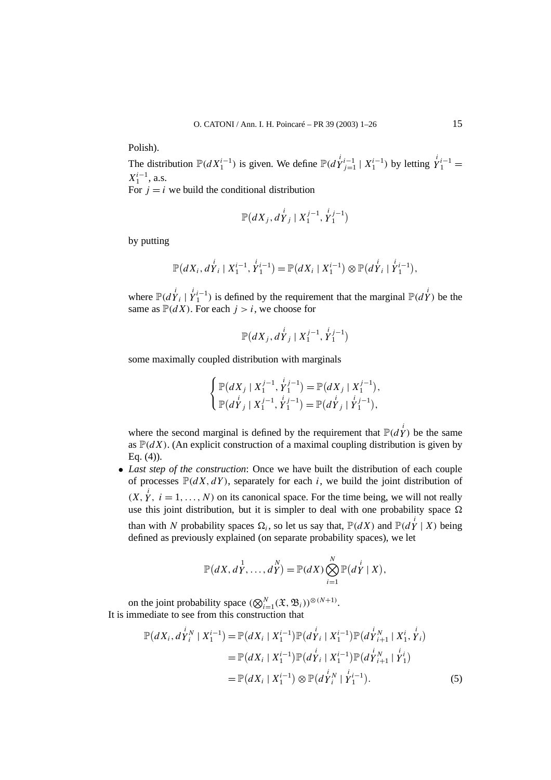Polish).

The distribution  $\mathbb{P}(dX_1^{i-1})$  is given. We define  $\mathbb{P}(d\dot{Y}_{j=1}^{i-1} | X_1^{i-1})$  by letting  $\dot{Y}_1^{i-1} =$  $X_1^{i-1}$ , a.s.

For  $i = i$  we build the conditional distribution

$$
\mathbb{P}(dX_j, dY_j \mid X_1^{j-1}, Y_1^{j-1})
$$

by putting

$$
\mathbb{P}(dX_i, dY_i | X_1^{i-1}, Y_1^{i-1}) = \mathbb{P}(dX_i | X_1^{i-1}) \otimes \mathbb{P}(dY_i | Y_1^{i-1}),
$$

where  $\mathbb{P}(d\overset{i}{Y}_i | \overset{i}{Y}_1^{i-1})$  is defined by the requirement that the marginal  $\mathbb{P}(d\overset{i}{Y})$  be the same as  $\mathbb{P}(dX)$ . For each  $j > i$ , we choose for

$$
\mathbb{P}(dX_j, d\overset{i}{Y}_j \mid X_1^{j-1}, \overset{i}{Y}_1^{j-1})
$$

some maximally coupled distribution with marginals

$$
\begin{cases} \mathbb{P}(dX_j \mid X_1^{j-1}, Y_1^{i,j-1}) = \mathbb{P}(dX_j \mid X_1^{j-1}), \\ \mathbb{P}(dY_j \mid X_1^{j-1}, Y_1^{i,j-1}) = \mathbb{P}(dY_j \mid Y_1^{i-1}), \end{cases}
$$

where the second marginal is defined by the requirement that  $\mathbb{P}(d\overset{i}{Y})$  be the same as  $\mathbb{P}(dX)$ . (An explicit construction of a maximal coupling distribution is given by Eq. (4)).

• *Last step of the construction*: Once we have built the distribution of each couple of processes  $\mathbb{P}(dX, dY)$ , separately for each *i*, we build the joint distribution of  $(X, Y, i = 1, ..., N)$  on its canonical space. For the time being, we will not really use this joint distribution, but it is simpler to deal with one probability space  $\Omega$ 

than with *N* probability spaces  $\Omega_i$ , so let us say that,  $\mathbb{P}(dX)$  and  $\mathbb{P}(d\overset{i}{Y} | X)$  being defined as previously explained (on separate probability spaces), we let

$$
\mathbb{P}(dX, dY, \ldots, dY) = \mathbb{P}(dX) \bigotimes_{i=1}^{N} \mathbb{P}(dY | X),
$$

on the joint probability space  $(\bigotimes_{i=1}^{N} (\mathfrak{X}, \mathfrak{B}_i))^{\otimes (N+1)}$ . It is immediate to see from this construction that

$$
\mathbb{P}(dX_i, d\overset{i}{Y_i}^N | X_1^{i-1}) = \mathbb{P}(dX_i | X_1^{i-1}) \mathbb{P}(d\overset{i}{Y_i} | X_1^{i-1}) \mathbb{P}(d\overset{i}{Y_i}^N | X_1^i, \overset{i}{Y_i})
$$
\n
$$
= \mathbb{P}(dX_i | X_1^{i-1}) \mathbb{P}(d\overset{i}{Y_i} | X_1^{i-1}) \mathbb{P}(d\overset{i}{Y_i}^N | \overset{i}{Y_1^i})
$$
\n
$$
= \mathbb{P}(dX_i | X_1^{i-1}) \otimes \mathbb{P}(d\overset{i}{Y_i}^N | \overset{i}{Y_1^{i-1}}).
$$
\n(5)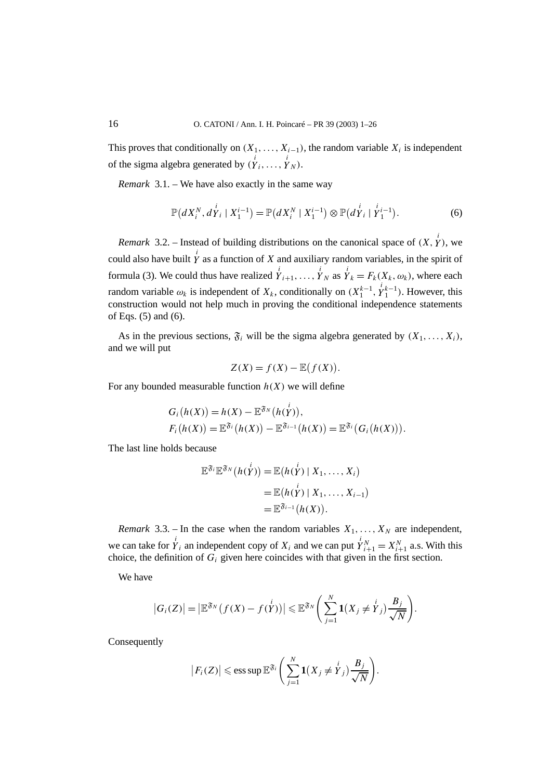This proves that conditionally on  $(X_1, \ldots, X_{i-1})$ , the random variable  $X_i$  is independent of the sigma algebra generated by  $(\stackrel{i}{Y}_i, \ldots, \stackrel{i}{Y}_N)$ .

*Remark* 3.1. – We have also exactly in the same way

$$
\mathbb{P}(dX_i^N, dY_i | X_1^{i-1}) = \mathbb{P}(dX_i^N | X_1^{i-1}) \otimes \mathbb{P}(dY_i | Y_1^{i-1}).
$$
 (6)

*Remark* 3.2. – Instead of building distributions on the canonical space of  $(X, \overset{i}{Y})$ , we could also have built  $\dot{Y}$  as a function of *X* and auxiliary random variables, in the spirit of formula (3). We could thus have realized  $\overrightarrow{Y}_{i+1}, \ldots, \overrightarrow{Y}_N$  as  $\overrightarrow{Y}_k = F_k(X_k, \omega_k)$ , where each random variable  $\omega_k$  is independent of  $X_k$ , conditionally on  $(X_1^{k-1}, Y_1^{k-1})$ . However, this construction would not help much in proving the conditional independence statements of Eqs. (5) and (6).

As in the previous sections,  $\mathfrak{F}_i$  will be the sigma algebra generated by  $(X_1, \ldots, X_i)$ , and we will put

$$
Z(X) = f(X) - \mathbb{E}(f(X)).
$$

For any bounded measurable function  $h(X)$  we will define

$$
G_i(h(X)) = h(X) - \mathbb{E}^{\mathfrak{F}_N}(h(Y)),
$$
  
\n
$$
F_i(h(X)) = \mathbb{E}^{\mathfrak{F}_i}(h(X)) - \mathbb{E}^{\mathfrak{F}_{i-1}}(h(X)) = \mathbb{E}^{\mathfrak{F}_i}(G_i(h(X))).
$$

The last line holds because

$$
\mathbb{E}^{\mathfrak{F}_i} \mathbb{E}^{\mathfrak{F}_N} (h(Y)) = \mathbb{E} (h(Y) \mid X_1, \dots, X_i)
$$
  
= 
$$
\mathbb{E} (h(Y) \mid X_1, \dots, X_{i-1})
$$
  
= 
$$
\mathbb{E}^{\mathfrak{F}_{i-1}} (h(X)).
$$

*Remark* 3.3. – In the case when the random variables  $X_1, \ldots, X_N$  are independent, we can take for  $\dot{Y}_i$  an independent copy of  $X_i$  and we can put  $\dot{Y}_{i+1}^N = X_{i+1}^N$  a.s. With this choice, the definition of  $G_i$  given here coincides with that given in the first section.

We have

$$
|G_i(Z)| = \left|\mathbb{E}^{\mathfrak{F}_N}\big(f(X) - f(Y)\big)\right| \leq \mathbb{E}^{\mathfrak{F}_N}\bigg(\sum_{j=1}^N \mathbf{1}\big(X_j \neq Y_j\big)\frac{B_j}{\sqrt{N}}\bigg).
$$

Consequently

$$
|F_i(Z)| \leqslant \text{ess sup }\mathbb{E}^{\mathfrak{F}_i}\bigg(\sum_{j=1}^N \mathbf{1}(X_j \neq Y_j)\frac{B_j}{\sqrt{N}}\bigg).
$$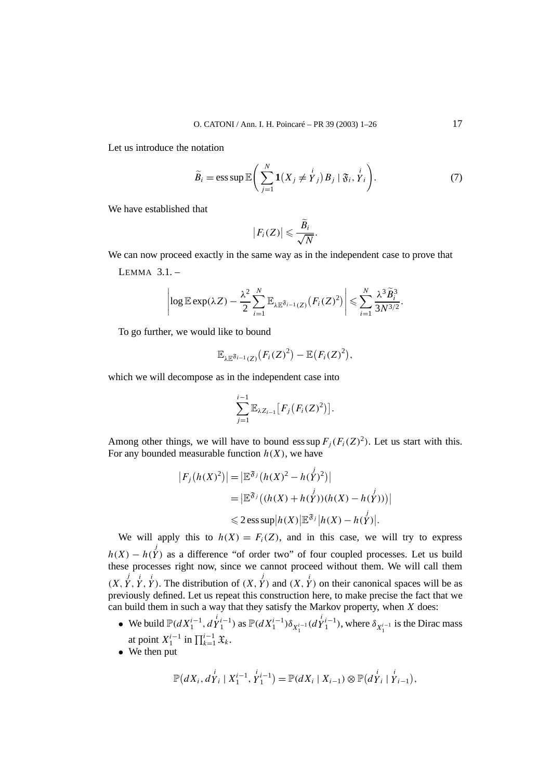Let us introduce the notation

$$
\widetilde{B}_i = \operatorname{ess} \operatorname{sup} \mathbb{E}\bigg(\sum_{j=1}^N \mathbf{1}(X_j \neq Y_j) B_j \mid \mathfrak{F}_i, Y_i\bigg). \tag{7}
$$

We have established that

$$
|F_i(Z)| \leqslant \frac{\widetilde{B}_i}{\sqrt{N}}.
$$

We can now proceed exactly in the same way as in the independent case to prove that LEMMA  $31$  –

$$
\left|\log \mathbb{E} \exp(\lambda Z) - \frac{\lambda^2}{2} \sum_{i=1}^N \mathbb{E}_{\lambda \mathbb{E}^{\mathfrak{F}_{i-1}}(Z)} (F_i(Z)^2)\right| \leq \sum_{i=1}^N \frac{\lambda^3 \widetilde{B}_i^3}{3N^{3/2}}.
$$

To go further, we would like to bound

$$
\mathbb{E}_{\lambda \mathbb{E}^{\mathfrak{F}_{i-1}}(Z)}(F_i(Z)^2) - \mathbb{E}(F_i(Z)^2),
$$

which we will decompose as in the independent case into

$$
\sum_{j=1}^{i-1} \mathbb{E}_{\lambda Z_{i-1}} [F_j(F_i(Z)^2)].
$$

Among other things, we will have to bound ess sup  $F_i(F_i(Z)^2)$ . Let us start with this. For any bounded measurable function  $h(X)$ , we have

$$
|F_j(h(X)^2)| = |\mathbb{E}^{\mathfrak{F}_j}(h(X)^2 - h(Y)^2)|
$$
  
= 
$$
|\mathbb{E}^{\mathfrak{F}_j}((h(X) + h(Y))(h(X) - h(Y)))|
$$
  

$$
\leq 2 \operatorname{ess} \sup |h(X)| \mathbb{E}^{\mathfrak{F}_j}|h(X) - h(Y)|.
$$

We will apply this to  $h(X) = F_i(Z)$ , and in this case, we will try to express  $h(X) - h(Y)$  as a difference "of order two" of four coupled processes. Let us build these processes right now, since we cannot proceed without them. We will call them  $(X, \overset{j}{Y}, \overset{i}{Y}, \overset{i}{Y})$ . The distribution of  $(X, \overset{j}{Y})$  and  $(X, \overset{i}{Y})$  on their canonical spaces will be as previously defined. Let us repeat this construction here, to make precise the fact that we can build them in such a way that they satisfy the Markov property, when *X* does:

- We build  $\mathbb{P}(dX_1^{i-1}, dY_1^{i-1})$  as  $\mathbb{P}(dX_1^{i-1})\delta_{X_1^{i-1}}(dY_1^{i-1})$ , where  $\delta_{X_1^{i-1}}$  is the Dirac mass at point  $X_1^{i-1}$  in  $\prod_{k=1}^{i-1} \mathfrak{X}_k$ .
- We then put

$$
\mathbb{P}(dX_i, dY_i | X_1^{i-1}, Y_1^{i-1}) = \mathbb{P}(dX_i | X_{i-1}) \otimes \mathbb{P}(dY_i | Y_{i-1}),
$$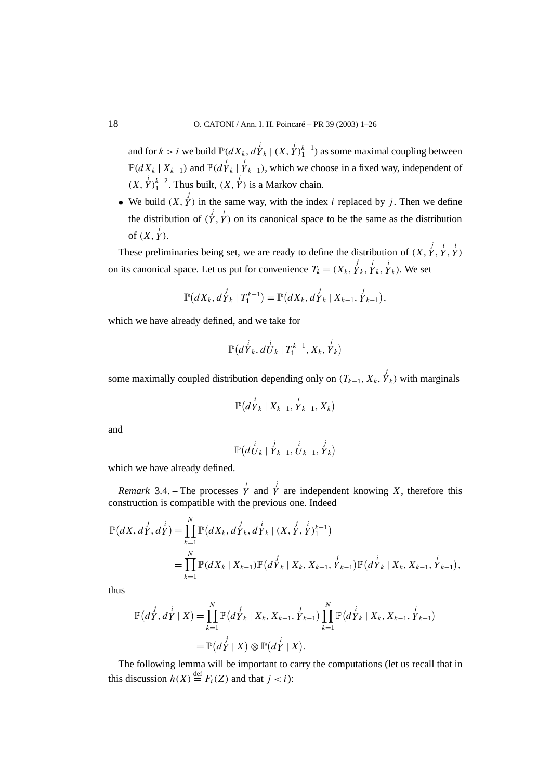and for  $k > i$  we build  $\mathbb{P}(dX_k, dY_k | (X, Y)_1^{i-1})$  as some maximal coupling between  $\mathbb{P}(dX_k | X_{k-1})$  and  $\mathbb{P}(d\overset{i}{Y}_k | Y_{k-1})$ , which we choose in a fixed way, independent of  $(X, \overset{i}{Y})_1^{k-2}$ . Thus built,  $(X, \overset{i}{Y})$  is a Markov chain.

• We build  $(X, Y)$  in the same way, with the index *i* replaced by *j*. Then we define the distribution of  $(Y, Y)$  on its canonical space to be the same as the distribution of  $(X, \overset{i}{Y})$ .

These preliminaries being set, we are ready to define the distribution of  $(X, \overrightarrow{Y}, \overrightarrow{Y}, \overrightarrow{Y})$ on its canonical space. Let us put for convenience  $T_k = (X_k, Y_k, Y_k, Y_k)$ . We set

$$
\mathbb{P}(dX_k, dY_k | T_1^{k-1}) = \mathbb{P}(dX_k, dY_k | X_{k-1}, Y_{k-1}),
$$

which we have already defined, and we take for

$$
\mathbb{P}(d\overset{i}{Y}_k, d\overset{i}{U}_k | T_1^{k-1}, X_k, \overset{j}{Y}_k)
$$

some maximally coupled distribution depending only on  $(T_{k-1}, X_k, Y_k)$  with marginals

$$
\mathbb{P}(d\overset{i}{Y}_k\mid X_{k-1},\overset{i}{Y}_{k-1},X_k)
$$

and

$$
\mathbb{P}(d\overset{i}{U}_k | \overset{j}{Y}_{k-1}, \overset{i}{U}_{k-1}, \overset{j}{Y}_k)
$$

which we have already defined.

*Remark* 3.4. – The processes  $\overrightarrow{Y}$  and  $\overrightarrow{Y}$  are independent knowing *X*, therefore this construction is compatible with the previous one. Indeed

$$
\mathbb{P}(dX, dY, dY) = \prod_{k=1}^{N} \mathbb{P}(dX_k, dY_k, dY_k | (X, Y, Y)^{i-1})
$$
  
= 
$$
\prod_{k=1}^{N} \mathbb{P}(dX_k | X_{k-1}) \mathbb{P}(dY_k | X_k, X_{k-1}, Y^{i-1}) \mathbb{P}(dY_k | X_k, X_{k-1}, Y^{i-1}),
$$

thus

$$
\mathbb{P}(d\overset{j}{Y}, d\overset{i}{Y} | X) = \prod_{k=1}^{N} \mathbb{P}(d\overset{j}{Y}_{k} | X_{k}, X_{k-1}, \overset{j}{Y}_{k-1}) \prod_{k=1}^{N} \mathbb{P}(d\overset{i}{Y}_{k} | X_{k}, X_{k-1}, \overset{i}{Y}_{k-1})
$$
  
=  $\mathbb{P}(d\overset{j}{Y} | X) \otimes \mathbb{P}(d\overset{i}{Y} | X).$ 

The following lemma will be important to carry the computations (let us recall that in this discussion  $h(X) \stackrel{\text{def}}{=} F_i(Z)$  and that  $j < i$ ):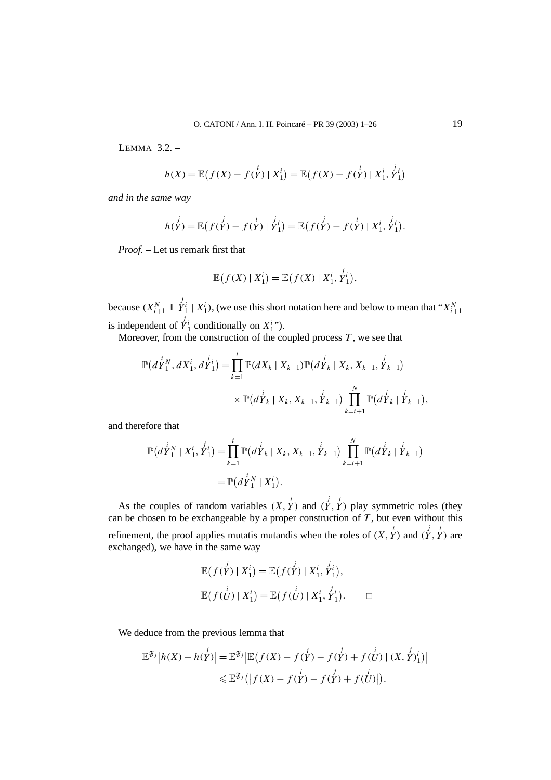LEMMA  $32$  –

$$
h(X) = \mathbb{E}\left(f(X) - f(\stackrel{i}{Y}) \mid X_1^i\right) = \mathbb{E}\left(f(X) - f(\stackrel{i}{Y}) \mid X_1^i, \stackrel{j}{Y_1^i}\right)
$$

*and in the same way*

$$
h(Y) = \mathbb{E}\big(f(Y) - f(Y) | Y_1^i\big) = \mathbb{E}\big(f(Y) - f(Y) | X_1^i, Y_1^i\big).
$$

*Proof. –* Let us remark first that

$$
\mathbb{E}\big(f(X)\mid X_1^i\big)=\mathbb{E}\big(f(X)\mid X_1^i,\stackrel{j_i}{Y_1^i}\big),
$$

because  $(X_{i+1}^N \perp \perp Y_1^i \mid X_1^i)$ , (we use this short notation here and below to mean that " $X_{i+1}^N$ is independent of  $\overline{Y}_1^i$  conditionally on  $X_1^{i}$ ").

Moreover, from the construction of the coupled process  $T$ , we see that

$$
\mathbb{P}(d\overset{i}{Y}_{1}^{N},dX_{1}^{i},d\overset{j}{Y}_{1}^{i}) = \prod_{k=1}^{i} \mathbb{P}(dX_{k} | X_{k-1}) \mathbb{P}(d\overset{j}{Y}_{k} | X_{k},X_{k-1},\overset{j}{Y}_{k-1}) \times \mathbb{P}(d\overset{i}{Y}_{k} | X_{k},X_{k-1},\overset{i}{Y}_{k-1}) \prod_{k=i+1}^{N} \mathbb{P}(d\overset{i}{Y}_{k} | \overset{i}{Y}_{k-1})
$$

and therefore that

$$
\mathbb{P}(d\overset{i}{Y}_1^N \mid X_1^i, \overset{j}{Y}_1^i) = \prod_{k=1}^i \mathbb{P}(d\overset{i}{Y}_k \mid X_k, X_{k-1}, \overset{i}{Y}_{k-1}) \prod_{k=i+1}^N \mathbb{P}(d\overset{i}{Y}_k \mid \overset{i}{Y}_{k-1})
$$
  
=  $\mathbb{P}(d\overset{i}{Y}_1^N \mid X_1^i)$ .

As the couples of random variables  $(X, Y)$  and  $(Y, Y)$  play symmetric roles (they can be chosen to be exchangeable by a proper construction of *T* , but even without this refinement, the proof applies mutatis mutandis when the roles of  $(X, Y)$  and  $(Y, Y)$  are exchanged), we have in the same way

$$
\mathbb{E}(f(\stackrel{j}{Y}) | X_1^i) = \mathbb{E}(f(\stackrel{j}{Y}) | X_1^i, \stackrel{j}{Y_1^i}),
$$
  

$$
\mathbb{E}(f(\stackrel{i}{U}) | X_1^i) = \mathbb{E}(f(\stackrel{i}{U}) | X_1^i, \stackrel{j}{Y_1^i}).
$$

We deduce from the previous lemma that

$$
\mathbb{E}^{\mathfrak{F}_j}|h(X) - h(\stackrel{j}{Y})| = \mathbb{E}^{\mathfrak{F}_j}|\mathbb{E}(f(X) - f(\stackrel{i}{Y}) - f(\stackrel{j}{Y}) + f(\stackrel{i}{U})|(X, \stackrel{j}{Y})^i_1)|
$$
  

$$
\leq \mathbb{E}^{\mathfrak{F}_j}(|f(X) - f(\stackrel{i}{Y}) - f(\stackrel{j}{Y}) + f(\stackrel{i}{U})|).
$$

*,*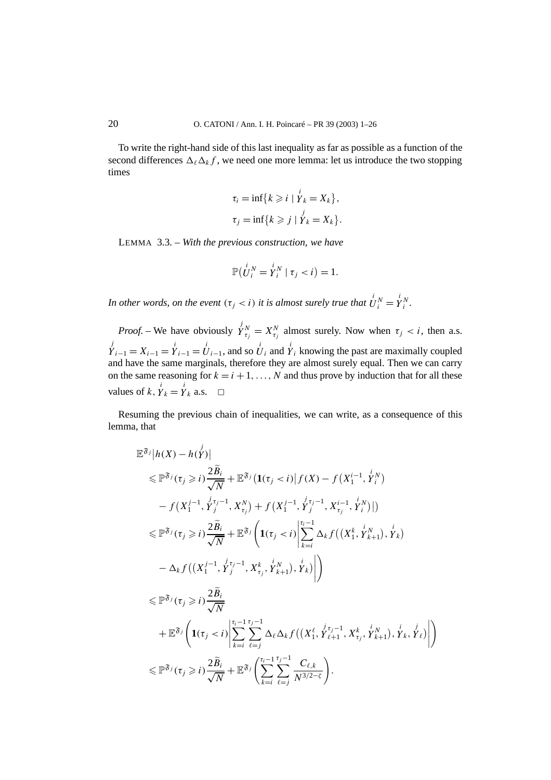To write the right-hand side of this last inequality as far as possible as a function of the second differences  $\Delta_k \Delta_k f$ , we need one more lemma: let us introduce the two stopping times

$$
\tau_i = \inf\{k \geqslant i \mid \overset{i}{Y}_k = X_k\},
$$
  

$$
\tau_j = \inf\{k \geqslant j \mid \overset{j}{Y}_k = X_k\}.
$$

LEMMA 3.3. – *With the previous construction, we have*

$$
\mathbb{P}(\stackrel{i}{U_i}^N=\stackrel{i}{Y_i}^N \mid \tau_j < i) = 1.
$$

*In other words, on the event*  $(\tau_j < i)$  *it is almost surely true that*  $U_i^N = \overset{i}{Y}_i^N$ .

*Proof.* – We have obviously  $\overline{Y}_{\tau_j}^N = X_{\tau_j}^N$  almost surely. Now when  $\tau_j < i$ , then a.s.  $j'$ <sub>*i*−1</sub></sub> =  $\overline{Y}_{i-1} = \overline{Y}_{i-1} = \overline{U}_{i-1}$ , and so  $\overline{U}_i$  and  $\overline{Y}_i$  knowing the past are maximally coupled and have the same marginals, therefore they are almost surely equal. Then we can carry on the same reasoning for  $k = i + 1, \ldots, N$  and thus prove by induction that for all these values of  $k$ ,  $\dot{Y}_k = \dot{Y}_k$  a.s.  $\Box$ 

Resuming the previous chain of inequalities, we can write, as a consequence of this lemma, that

$$
\mathbb{E}^{\mathfrak{F}_{j}}|h(X) - h(Y)|
$$
\n
$$
\leq \mathbb{P}^{\mathfrak{F}_{j}}(\tau_{j} \geq i) \frac{2\widetilde{B}_{i}}{\sqrt{N}} + \mathbb{E}^{\mathfrak{F}_{j}}(\mathbf{1}(\tau_{j} < i) | f(X) - f(X_{1}^{i-1}, Y_{i}^{i})
$$
\n
$$
- f(X_{1}^{j-1}, Y_{j}^{i,j-1}, X_{\tau_{j}}^{N}) + f(X_{1}^{j-1}, Y_{j}^{i,j-1}, X_{\tau_{j}}^{i-1}, Y_{i}^{i})|)
$$
\n
$$
\leq \mathbb{P}^{\mathfrak{F}_{j}}(\tau_{j} \geq i) \frac{2\widetilde{B}_{i}}{\sqrt{N}} + \mathbb{E}^{\mathfrak{F}_{j}}\left(\mathbf{1}(\tau_{j} < i) \left| \sum_{k=i}^{\tau_{i}-1} \Delta_{k} f((X_{1}^{k}, Y_{k+1}^{i}) , Y_{k}) - \Delta_{k} f((X_{1}^{i-1}, Y_{j}^{i,j-1}, X_{\tau_{j}}^{k}, Y_{k+1}^{i}), Y_{k})\right|\right)
$$
\n
$$
\leq \mathbb{P}^{\mathfrak{F}_{j}}(\tau_{j} \geq i) \frac{2\widetilde{B}_{i}}{\sqrt{N}}
$$
\n
$$
+ \mathbb{E}^{\mathfrak{F}_{j}}\left(\mathbf{1}(\tau_{j} < i) \left| \sum_{k=i}^{\tau_{i}-1} \sum_{\ell=j}^{\tau_{j}-1} \Delta_{\ell} \Delta_{k} f((X_{1}^{\ell}, Y_{\ell+1}^{i,j-1}, X_{\tau_{j}}^{k}, Y_{k+1}^{i}), Y_{k}, Y_{\ell})\right|\right)
$$
\n
$$
\leq \mathbb{P}^{\mathfrak{F}_{j}}(\tau_{j} \geq i) \frac{2\widetilde{B}_{i}}{\sqrt{N}} + \mathbb{E}^{\mathfrak{F}_{j}}\left(\sum_{k=i}^{\tau_{i}-1} \sum_{\ell=j}^{\tau_{j}-1} \frac{C_{\ell,k}}{N^{3/2-\zeta}}\right).
$$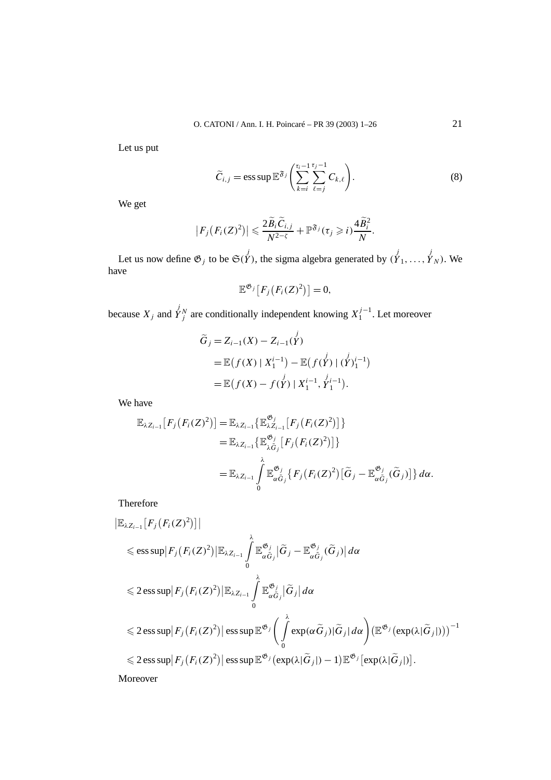Let us put

$$
\widetilde{C}_{i,j} = \operatorname{ess} \operatorname{sup} \mathbb{E}^{\mathfrak{F}_j} \left( \sum_{k=i}^{\tau_i - 1} \sum_{\ell=j}^{\tau_j - 1} C_{k,\ell} \right). \tag{8}
$$

We get

$$
\left|F_j\big(F_i(Z)^2\big)\right|\leqslant \frac{2\widetilde{B}_i\widetilde{C}_{i,j}}{N^{2-\zeta}}+\mathbb{P}^{\mathfrak{F}_j}(\tau_j\geqslant i)\frac{4\widetilde{B}_i^2}{N}.
$$

Let us now define  $\mathfrak{G}_j$  to be  $\mathfrak{S}(Y)$ , the sigma algebra generated by  $(Y_1, \ldots, Y_N)$ . We have

$$
\mathbb{E}^{\mathfrak{G}_j}[F_j(F_i(Z)^2)]=0,
$$

because  $X_j$  and  $\overline{Y}_j^N$  are conditionally independent knowing  $X_1^{j-1}$ . Let moreover

$$
\widetilde{G}_j = Z_{i-1}(X) - Z_{i-1}(\overset{j}{Y})
$$
\n
$$
= \mathbb{E}\big(f(X) \mid X_1^{i-1}\big) - \mathbb{E}\big(f(Y) \mid (Y)_1^{i-1}\big)
$$
\n
$$
= \mathbb{E}\big(f(X) - f(Y) \mid X_1^{i-1}, Y_1^{i-1}\big).
$$

We have

$$
\mathbb{E}_{\lambda Z_{i-1}}[F_j(F_i(Z)^2)] = \mathbb{E}_{\lambda Z_{i-1}}\{\mathbb{E}_{\lambda Z_{i-1}}^{\mathfrak{G}_j}[F_j(F_i(Z)^2)]\}
$$
  
\n
$$
= \mathbb{E}_{\lambda Z_{i-1}}\{\mathbb{E}_{\lambda \tilde{G}_j}^{\mathfrak{G}_j}[F_j(F_i(Z)^2)]\}
$$
  
\n
$$
= \mathbb{E}_{\lambda Z_{i-1}}\int_{0}^{\lambda}\mathbb{E}_{\alpha \tilde{G}_j}^{\mathfrak{G}_j}\{F_j(F_i(Z)^2)[\tilde{G}_j - \mathbb{E}_{\alpha \tilde{G}_j}^{\mathfrak{G}_j}(\tilde{G}_j)]\} d\alpha.
$$

Therefore

$$
\begin{split}\n&\|\mathbb{E}_{\lambda Z_{i-1}}[F_j(F_i(Z)^2)]\| \\
&\leq \text{ess}\sup |F_j(F_i(Z)^2)| \mathbb{E}_{\lambda Z_{i-1}} \int_0^{\lambda} \mathbb{E}_{\alpha \tilde{G}_j}^{\mathfrak{G}_j} |\tilde{G}_j - \mathbb{E}_{\alpha \tilde{G}_j}^{\mathfrak{G}_j} (\tilde{G}_j)| d\alpha \\
&\leq 2 \text{ess}\sup |F_j(F_i(Z)^2)| \mathbb{E}_{\lambda Z_{i-1}} \int_0^{\lambda} \mathbb{E}_{\alpha \tilde{G}_j}^{\mathfrak{G}_j} |\tilde{G}_j| d\alpha \\
&\leq 2 \text{ess}\sup |F_j(F_i(Z)^2)| \text{ess}\sup \mathbb{E}^{\mathfrak{G}_j} \left(\int_0^{\lambda} \exp(\alpha \tilde{G}_j) |\tilde{G}_j| d\alpha\right) \left(\mathbb{E}^{\mathfrak{G}_j}(\exp(\lambda|\tilde{G}_j|))\right)^{-1} \\
&\leq 2 \text{ess}\sup |F_j(F_i(Z)^2)| \text{ess}\sup \mathbb{E}^{\mathfrak{G}_j}(\exp(\lambda|\tilde{G}_j|) - 1) \mathbb{E}^{\mathfrak{G}_j}[\exp(\lambda|\tilde{G}_j|)].\n\end{split}
$$

Moreover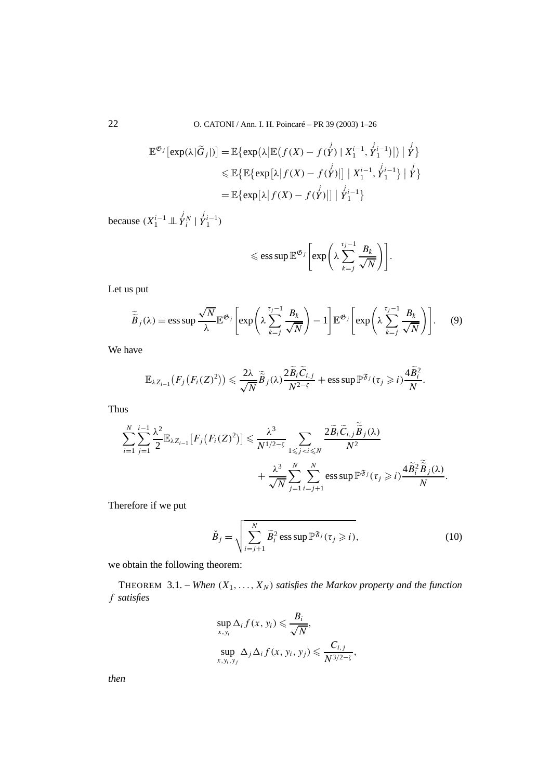$$
\mathbb{E}^{\mathfrak{G}_j}[\exp(\lambda|\widetilde{G}_j|)] = \mathbb{E}\{\exp(\lambda|\mathbb{E}(f(X) - f(Y)) \mid X_1^{i-1}, Y_1^{i-1})|) \mid Y\}
$$
  
\n
$$
\leq \mathbb{E}\{\mathbb{E}\{\exp[\lambda|f(X) - f(Y)] \mid X_1^{i-1}, Y_1^{i-1}\} \mid Y\}
$$
  
\n
$$
= \mathbb{E}\{\exp[\lambda|f(X) - f(Y)] \mid Y_1^{i-1}\}
$$

because  $(X_1^{i-1} \perp \!\!\!\perp Y_i^N \mid Y_1^{i-1})$ 

$$
\leqslant \text{ess}\sup \mathbb{E}^{\mathfrak{G}_j}\bigg[\text{exp}\bigg(\lambda\sum_{k=j}^{\tau_j-1}\frac{B_k}{\sqrt{N}}\bigg)\bigg].
$$

Let us put

$$
\widetilde{\widetilde{B}}_j(\lambda) = \operatorname{ess} \operatorname{sup} \frac{\sqrt{N}}{\lambda} \mathbb{E}^{\mathfrak{G}_j} \left[ \operatorname{exp} \left( \lambda \sum_{k=j}^{\tau_j - 1} \frac{B_k}{\sqrt{N}} \right) - 1 \right] \mathbb{E}^{\mathfrak{G}_j} \left[ \operatorname{exp} \left( \lambda \sum_{k=j}^{\tau_j - 1} \frac{B_k}{\sqrt{N}} \right) \right].
$$
 (9)

We have

$$
\mathbb{E}_{\lambda Z_{i-1}}(F_j(F_i(Z)^2)) \leqslant \frac{2\lambda}{\sqrt{N}} \widetilde{\widetilde{B}}_j(\lambda) \frac{2\widetilde{B}_i \widetilde{C}_{i,j}}{N^{2-\zeta}} + \operatorname{ess} \operatorname{sup} \mathbb{P}^{\mathfrak{F}_j}(\tau_j \geqslant i) \frac{4\widetilde{B}_i^2}{N}.
$$

Thus

$$
\sum_{i=1}^{N} \sum_{j=1}^{i-1} \frac{\lambda^2}{2} \mathbb{E}_{\lambda Z_{i-1}} [F_j(F_i(Z)^2)] \leq \frac{\lambda^3}{N^{1/2-\zeta}} \sum_{1 \leq j < i \leq N} \frac{2 \widetilde{B}_i \widetilde{C}_{i,j} \widetilde{\widetilde{B}}_j(\lambda)}{N^2} + \frac{\lambda^3}{\sqrt{N}} \sum_{j=1}^{N} \sum_{i=j+1}^{N} \text{ess} \text{ sup } \mathbb{P}^{\mathfrak{F}_j}(\tau_j \geqslant i) \frac{4 \widetilde{B}_i^2 \widetilde{\widetilde{B}}_j(\lambda)}{N}.
$$

Therefore if we put

$$
\check{B}_j = \sqrt{\sum_{i=j+1}^N \widetilde{B}_i^2 \operatorname{ess} \operatorname{sup} \mathbb{P}^{\mathfrak{F}_j}(\tau_j \geqslant i)},\tag{10}
$$

we obtain the following theorem:

THEOREM 3.1. – *When*  $(X_1, \ldots, X_N)$  *satisfies the Markov property and the function f satisfies*

$$
\sup_{x,y_i} \Delta_i f(x, y_i) \leq \frac{B_i}{\sqrt{N}},
$$
  
\n
$$
\sup_{x,y_i,y_j} \Delta_j \Delta_i f(x, y_i, y_j) \leq \frac{C_{i,j}}{N^{3/2-\zeta}},
$$

*then*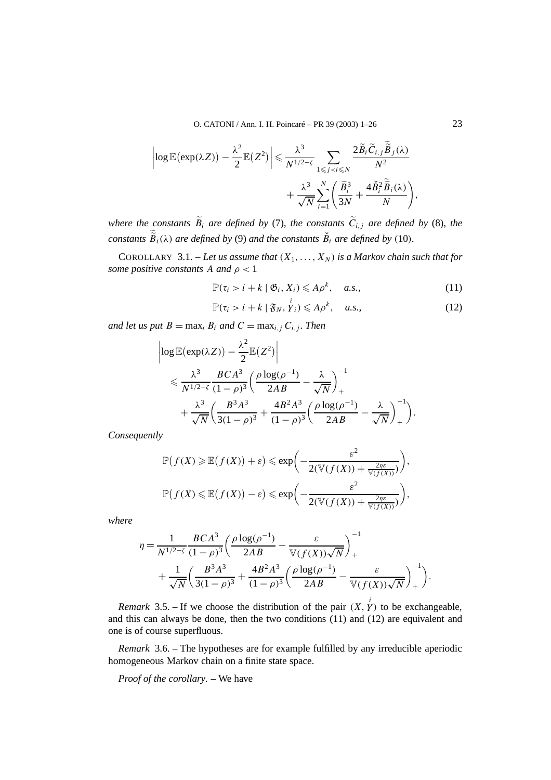O. CATONI / Ann. I. H. Poincaré – PR 39 (2003) 1–26 23

$$
\left|\log \mathbb{E}(\exp(\lambda Z)) - \frac{\lambda^2}{2} \mathbb{E}(Z^2)\right| \leq \frac{\lambda^3}{N^{1/2-\zeta}} \sum_{1 \leq j < i \leq N} \frac{2\widetilde{B}_i \widetilde{C}_{i,j} \widetilde{\widetilde{B}}_j(\lambda)}{N^2} + \frac{\lambda^3}{\sqrt{N}} \sum_{i=1}^N \left(\frac{\widetilde{B}_i^3}{3N} + \frac{4\check{B}_i^2 \widetilde{\widetilde{B}}_i(\lambda)}{N}\right),
$$

*where the constants*  $\widetilde{B}_i$  *are defined by* (7)*, the constants*  $\widetilde{C}_{i,j}$  *are defined by* (8)*, the constants*  $\widetilde{B}_i(\lambda)$  *are defined by* (9) *and the constants*  $\check{B}_i$  *are defined by* (10)*.* 

COROLLARY 3.1. – Let us assume that  $(X_1, \ldots, X_N)$  is a Markov chain such that for *some positive constants A and*  $\rho < 1$ 

$$
\mathbb{P}(\tau_i > i + k \mid \mathfrak{G}_i, X_i) \leq A \rho^k, \quad a.s., \tag{11}
$$

$$
\mathbb{P}(\tau_i > i + k \mid \mathfrak{F}_N, Y_i) \leqslant A\rho^k, \quad a.s., \tag{12}
$$

*and let us put*  $B = \max_i B_i$  *and*  $C = \max_{i \in I} C_{i,j}$ *. Then* 

$$
\begin{split} & \left| \log \mathbb{E}(\exp(\lambda Z)) - \frac{\lambda^2}{2} \mathbb{E}(Z^2) \right| \\ & \leqslant \frac{\lambda^3}{N^{1/2-\zeta}} \frac{BCA^3}{(1-\rho)^3} \left( \frac{\rho \log(\rho^{-1})}{2AB} - \frac{\lambda}{\sqrt{N}} \right)_+^{-1} \\ & + \frac{\lambda^3}{\sqrt{N}} \left( \frac{B^3A^3}{3(1-\rho)^3} + \frac{4B^2A^3}{(1-\rho)^3} \left( \frac{\rho \log(\rho^{-1})}{2AB} - \frac{\lambda}{\sqrt{N}} \right)_+^{-1} \right). \end{split}
$$

*Consequently*

$$
\mathbb{P}(f(X) \geq \mathbb{E}(f(X)) + \varepsilon) \leq \exp\left(-\frac{\varepsilon^2}{2(\mathbb{V}(f(X)) + \frac{2\eta\varepsilon}{\mathbb{V}(f(X))})}\right),
$$
  

$$
\mathbb{P}(f(X) \leq \mathbb{E}(f(X)) - \varepsilon) \leq \exp\left(-\frac{\varepsilon^2}{2(\mathbb{V}(f(X)) + \frac{2\eta\varepsilon}{\mathbb{V}(f(X))})}\right),
$$

*where*

$$
\eta = \frac{1}{N^{1/2-\zeta}} \frac{BCA^3}{(1-\rho)^3} \left( \frac{\rho \log(\rho^{-1})}{2AB} - \frac{\varepsilon}{\mathbb{V}(f(X))\sqrt{N}} \right)_+^{\mathbb{I}} + \frac{1}{\sqrt{N}} \left( \frac{B^3A^3}{3(1-\rho)^3} + \frac{4B^2A^3}{(1-\rho)^3} \left( \frac{\rho \log(\rho^{-1})}{2AB} - \frac{\varepsilon}{\mathbb{V}(f(X))\sqrt{N}} \right)_+^{\mathbb{I}} \right).
$$

*Remark* 3.5. – If we choose the distribution of the pair  $(X, \overset{i}{Y})$  to be exchangeable, and this can always be done, then the two conditions (11) and (12) are equivalent and one is of course superfluous.

*Remark* 3.6. – The hypotheses are for example fulfilled by any irreducible aperiodic homogeneous Markov chain on a finite state space.

*Proof of the corollary. –* We have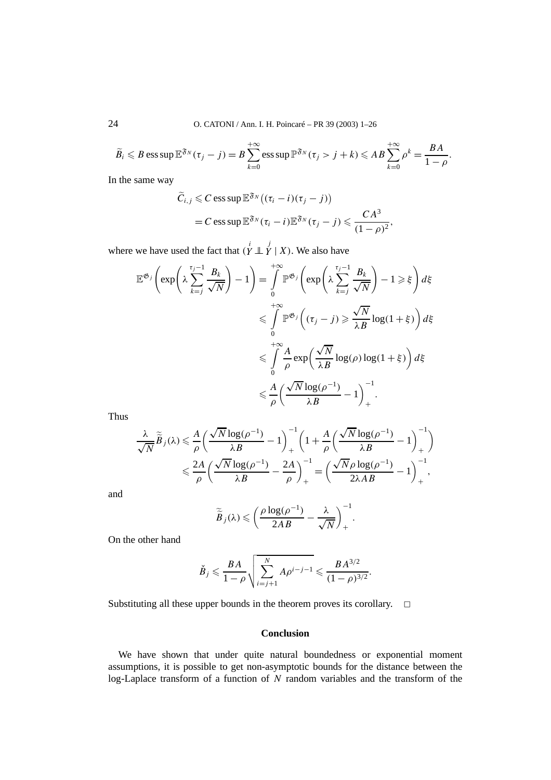$$
\widetilde{B}_i \leqslant B \operatorname{ess} \operatorname{sup} \mathbb{E}^{\mathfrak{F}_N}(\tau_j - j) = B \sum_{k=0}^{+\infty} \operatorname{ess} \operatorname{sup} \mathbb{P}^{\mathfrak{F}_N}(\tau_j > j + k) \leqslant AB \sum_{k=0}^{+\infty} \rho^k = \frac{BA}{1 - \rho}.
$$

In the same way

$$
\widetilde{C}_{i,j} \leq C \operatorname{ess} \operatorname{sup} \mathbb{E}^{\mathfrak{F}_N} \big( (\tau_i - i)(\tau_j - j) \big) \n= C \operatorname{ess} \operatorname{sup} \mathbb{E}^{\mathfrak{F}_N} (\tau_i - i) \mathbb{E}^{\mathfrak{F}_N} (\tau_j - j) \leqslant \frac{CA^3}{(1 - \rho)^2},
$$

where we have used the fact that  $(\overline{Y} \perp \overline{Y} \mid X)$ . We also have

$$
\mathbb{E}^{\mathfrak{G}_j} \left( \exp \left( \lambda \sum_{k=j}^{\tau_j - 1} \frac{B_k}{\sqrt{N}} \right) - 1 \right) = \int_0^{+\infty} \mathbb{P}^{\mathfrak{G}_j} \left( \exp \left( \lambda \sum_{k=j}^{\tau_j - 1} \frac{B_k}{\sqrt{N}} \right) - 1 \geq \xi \right) d\xi
$$
  

$$
\leq \int_0^{+\infty} \mathbb{P}^{\mathfrak{G}_j} \left( (\tau_j - j) \geq \frac{\sqrt{N}}{\lambda B} \log(1 + \xi) \right) d\xi
$$
  

$$
\leq \int_0^{+\infty} \frac{A}{\rho} \exp \left( \frac{\sqrt{N}}{\lambda B} \log(\rho) \log(1 + \xi) \right) d\xi
$$
  

$$
\leq \frac{A}{\rho} \left( \frac{\sqrt{N} \log(\rho^{-1})}{\lambda B} - 1 \right)_+^{-1}.
$$

Thus

$$
\frac{\lambda}{\sqrt{N}}\widetilde{\widetilde{B}}_j(\lambda) \leq \frac{A}{\rho} \left( \frac{\sqrt{N} \log(\rho^{-1})}{\lambda B} - 1 \right)_+^{-1} \left( 1 + \frac{A}{\rho} \left( \frac{\sqrt{N} \log(\rho^{-1})}{\lambda B} - 1 \right)_+^{-1} \right) \n\leq \frac{2A}{\rho} \left( \frac{\sqrt{N} \log(\rho^{-1})}{\lambda B} - \frac{2A}{\rho} \right)_+^{-1} = \left( \frac{\sqrt{N} \rho \log(\rho^{-1})}{2\lambda AB} - 1 \right)_+^{-1},
$$

and

$$
\widetilde{\widetilde{B}}_j(\lambda) \leqslant \left(\frac{\rho \log(\rho^{-1})}{2AB} - \frac{\lambda}{\sqrt{N}}\right)_+^{-1}.
$$

On the other hand

$$
\check{B}_j \leqslant \frac{BA}{1-\rho} \sqrt{\sum_{i=j+1}^N Ap^{i-j-1}} \leqslant \frac{BA^{3/2}}{(1-\rho)^{3/2}}.
$$

Substituting all these upper bounds in the theorem proves its corollary.  $\Box$ 

## **Conclusion**

We have shown that under quite natural boundedness or exponential moment assumptions, it is possible to get non-asymptotic bounds for the distance between the log-Laplace transform of a function of *N* random variables and the transform of the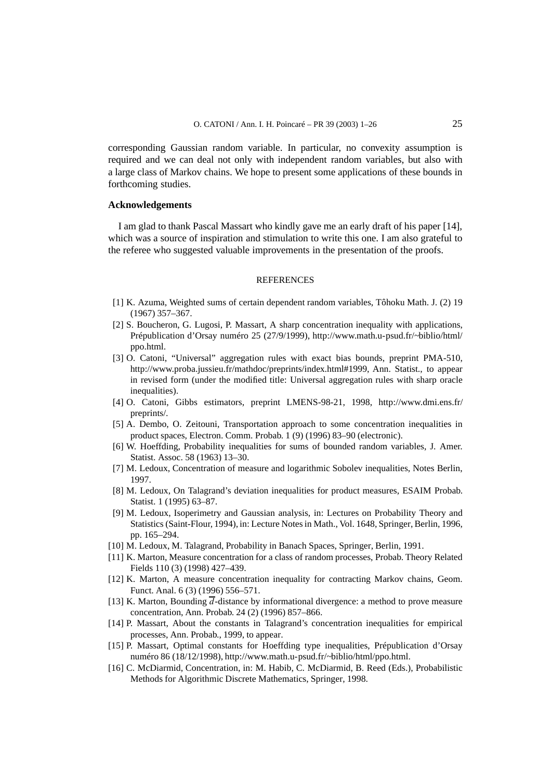corresponding Gaussian random variable. In particular, no convexity assumption is required and we can deal not only with independent random variables, but also with a large class of Markov chains. We hope to present some applications of these bounds in forthcoming studies.

## **Acknowledgements**

I am glad to thank Pascal Massart who kindly gave me an early draft of his paper [14], which was a source of inspiration and stimulation to write this one. I am also grateful to the referee who suggested valuable improvements in the presentation of the proofs.

## **REFERENCES**

- [1] K. Azuma, Weighted sums of certain dependent random variables, Tôhoku Math. J. (2) 19 (1967) 357–367.
- [2] S. Boucheron, G. Lugosi, P. Massart, A sharp concentration inequality with applications, Prépublication d'Orsay numéro 25 (27/9/1999), http://www.math.u-psud.fr/~biblio/html/ ppo.html.
- [3] O. Catoni, "Universal" aggregation rules with exact bias bounds, preprint PMA-510, http://www.proba.jussieu.fr/mathdoc/preprints/index.html#1999, Ann. Statist., to appear in revised form (under the modified title: Universal aggregation rules with sharp oracle inequalities).
- [4] O. Catoni, Gibbs estimators, preprint LMENS-98-21, 1998, http://www.dmi.ens.fr/ preprints/.
- [5] A. Dembo, O. Zeitouni, Transportation approach to some concentration inequalities in product spaces, Electron. Comm. Probab. 1 (9) (1996) 83–90 (electronic).
- [6] W. Hoeffding, Probability inequalities for sums of bounded random variables, J. Amer. Statist. Assoc. 58 (1963) 13–30.
- [7] M. Ledoux, Concentration of measure and logarithmic Sobolev inequalities, Notes Berlin, 1997.
- [8] M. Ledoux, On Talagrand's deviation inequalities for product measures, ESAIM Probab. Statist. 1 (1995) 63–87.
- [9] M. Ledoux, Isoperimetry and Gaussian analysis, in: Lectures on Probability Theory and Statistics (Saint-Flour, 1994), in: Lecture Notes in Math., Vol. 1648, Springer, Berlin, 1996, pp. 165–294.
- [10] M. Ledoux, M. Talagrand, Probability in Banach Spaces, Springer, Berlin, 1991.
- [11] K. Marton, Measure concentration for a class of random processes, Probab. Theory Related Fields 110 (3) (1998) 427–439.
- [12] K. Marton, A measure concentration inequality for contracting Markov chains, Geom. Funct. Anal. 6 (3) (1996) 556–571.
- [13] K. Marton, Bounding  $\overline{d}$ -distance by informational divergence: a method to prove measure concentration, Ann. Probab. 24 (2) (1996) 857–866.
- [14] P. Massart, About the constants in Talagrand's concentration inequalities for empirical processes, Ann. Probab., 1999, to appear.
- [15] P. Massart, Optimal constants for Hoeffding type inequalities, Prépublication d'Orsay numéro 86 (18/12/1998), http://www.math.u-psud.fr/~biblio/html/ppo.html.
- [16] C. McDiarmid, Concentration, in: M. Habib, C. McDiarmid, B. Reed (Eds.), Probabilistic Methods for Algorithmic Discrete Mathematics, Springer, 1998.